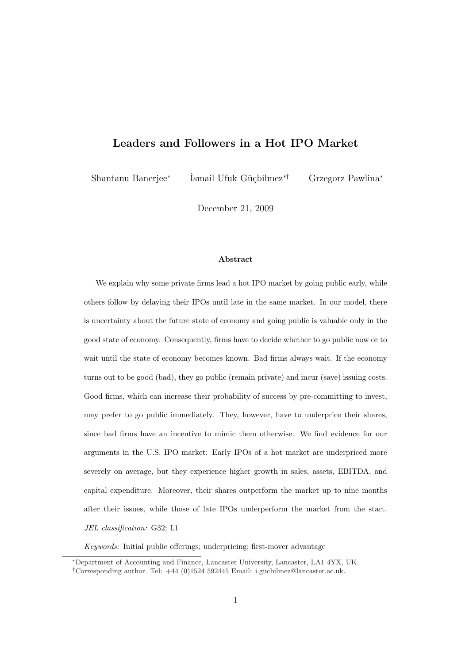# Leaders and Followers in a Hot IPO Market

Shantanu Banerjee<sup>∗</sup> İsmail Ufuk Güçbilmez<sup>∗†</sup> Grzegorz Pawlina<sup>∗</sup>

December 21, 2009

#### Abstract

We explain why some private firms lead a hot IPO market by going public early, while others follow by delaying their IPOs until late in the same market. In our model, there is uncertainty about the future state of economy and going public is valuable only in the good state of economy. Consequently, firms have to decide whether to go public now or to wait until the state of economy becomes known. Bad firms always wait. If the economy turns out to be good (bad), they go public (remain private) and incur (save) issuing costs. Good firms, which can increase their probability of success by pre-committing to invest, may prefer to go public immediately. They, however, have to underprice their shares, since bad firms have an incentive to mimic them otherwise. We find evidence for our arguments in the U.S. IPO market: Early IPOs of a hot market are underpriced more severely on average, but they experience higher growth in sales, assets, EBITDA, and capital expenditure. Moreover, their shares outperform the market up to nine months after their issues, while those of late IPOs underperform the market from the start. JEL classification: G32; L1

Keywords: Initial public offerings; underpricing; first-mover advantage

<sup>∗</sup>Department of Accounting and Finance, Lancaster University, Lancaster, LA1 4YX, UK.

<sup>†</sup>Corresponding author. Tel: +44 (0)1524 592445 Email: i.gucbilmez@lancaster.ac.uk.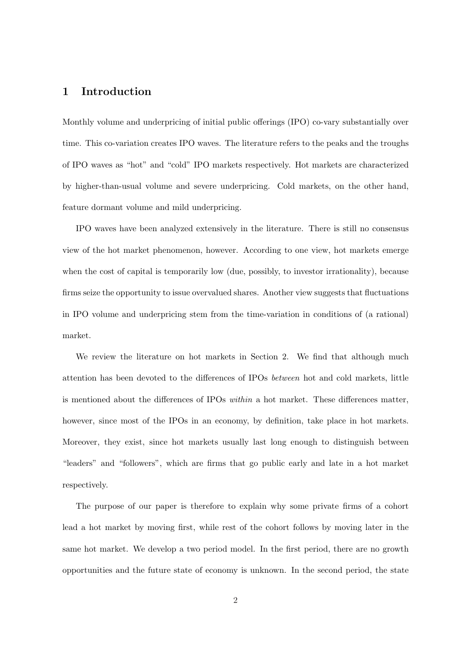# 1 Introduction

Monthly volume and underpricing of initial public offerings (IPO) co-vary substantially over time. This co-variation creates IPO waves. The literature refers to the peaks and the troughs of IPO waves as "hot" and "cold" IPO markets respectively. Hot markets are characterized by higher-than-usual volume and severe underpricing. Cold markets, on the other hand, feature dormant volume and mild underpricing.

IPO waves have been analyzed extensively in the literature. There is still no consensus view of the hot market phenomenon, however. According to one view, hot markets emerge when the cost of capital is temporarily low (due, possibly, to investor irrationality), because firms seize the opportunity to issue overvalued shares. Another view suggests that fluctuations in IPO volume and underpricing stem from the time-variation in conditions of (a rational) market.

We review the literature on hot markets in Section 2. We find that although much attention has been devoted to the differences of IPOs between hot and cold markets, little is mentioned about the differences of IPOs within a hot market. These differences matter, however, since most of the IPOs in an economy, by definition, take place in hot markets. Moreover, they exist, since hot markets usually last long enough to distinguish between "leaders" and "followers", which are firms that go public early and late in a hot market respectively.

The purpose of our paper is therefore to explain why some private firms of a cohort lead a hot market by moving first, while rest of the cohort follows by moving later in the same hot market. We develop a two period model. In the first period, there are no growth opportunities and the future state of economy is unknown. In the second period, the state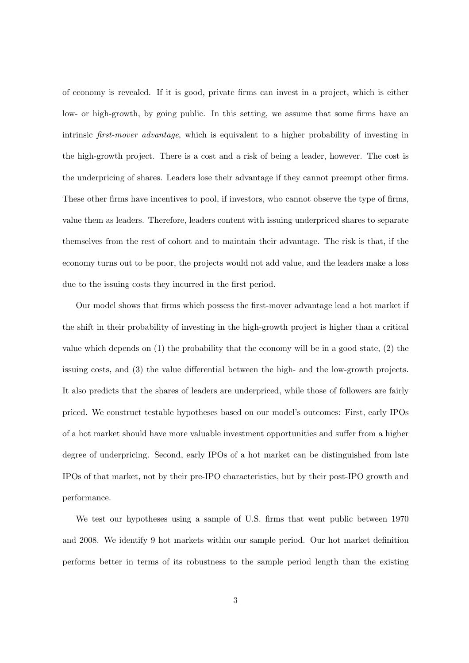of economy is revealed. If it is good, private firms can invest in a project, which is either low- or high-growth, by going public. In this setting, we assume that some firms have an intrinsic first-mover advantage, which is equivalent to a higher probability of investing in the high-growth project. There is a cost and a risk of being a leader, however. The cost is the underpricing of shares. Leaders lose their advantage if they cannot preempt other firms. These other firms have incentives to pool, if investors, who cannot observe the type of firms, value them as leaders. Therefore, leaders content with issuing underpriced shares to separate themselves from the rest of cohort and to maintain their advantage. The risk is that, if the economy turns out to be poor, the projects would not add value, and the leaders make a loss due to the issuing costs they incurred in the first period.

Our model shows that firms which possess the first-mover advantage lead a hot market if the shift in their probability of investing in the high-growth project is higher than a critical value which depends on (1) the probability that the economy will be in a good state, (2) the issuing costs, and (3) the value differential between the high- and the low-growth projects. It also predicts that the shares of leaders are underpriced, while those of followers are fairly priced. We construct testable hypotheses based on our model's outcomes: First, early IPOs of a hot market should have more valuable investment opportunities and suffer from a higher degree of underpricing. Second, early IPOs of a hot market can be distinguished from late IPOs of that market, not by their pre-IPO characteristics, but by their post-IPO growth and performance.

We test our hypotheses using a sample of U.S. firms that went public between 1970 and 2008. We identify 9 hot markets within our sample period. Our hot market definition performs better in terms of its robustness to the sample period length than the existing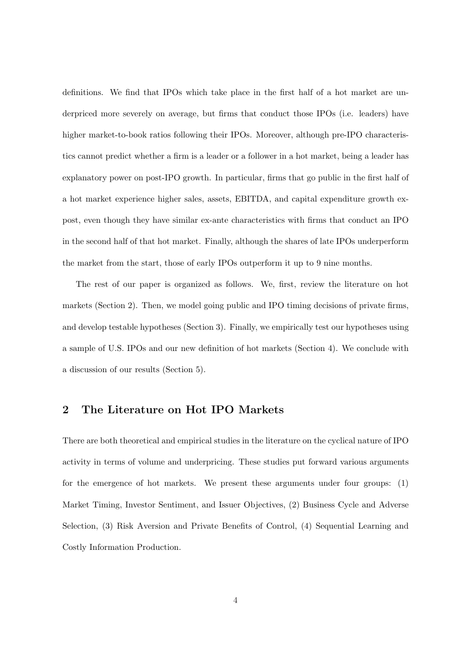definitions. We find that IPOs which take place in the first half of a hot market are underpriced more severely on average, but firms that conduct those IPOs (i.e. leaders) have higher market-to-book ratios following their IPOs. Moreover, although pre-IPO characteristics cannot predict whether a firm is a leader or a follower in a hot market, being a leader has explanatory power on post-IPO growth. In particular, firms that go public in the first half of a hot market experience higher sales, assets, EBITDA, and capital expenditure growth expost, even though they have similar ex-ante characteristics with firms that conduct an IPO in the second half of that hot market. Finally, although the shares of late IPOs underperform the market from the start, those of early IPOs outperform it up to 9 nine months.

The rest of our paper is organized as follows. We, first, review the literature on hot markets (Section 2). Then, we model going public and IPO timing decisions of private firms, and develop testable hypotheses (Section 3). Finally, we empirically test our hypotheses using a sample of U.S. IPOs and our new definition of hot markets (Section 4). We conclude with a discussion of our results (Section 5).

# 2 The Literature on Hot IPO Markets

There are both theoretical and empirical studies in the literature on the cyclical nature of IPO activity in terms of volume and underpricing. These studies put forward various arguments for the emergence of hot markets. We present these arguments under four groups: (1) Market Timing, Investor Sentiment, and Issuer Objectives, (2) Business Cycle and Adverse Selection, (3) Risk Aversion and Private Benefits of Control, (4) Sequential Learning and Costly Information Production.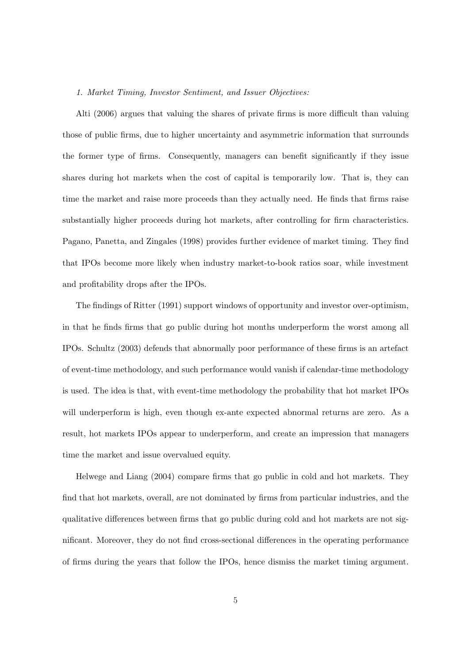### 1. Market Timing, Investor Sentiment, and Issuer Objectives:

Alti (2006) argues that valuing the shares of private firms is more difficult than valuing those of public firms, due to higher uncertainty and asymmetric information that surrounds the former type of firms. Consequently, managers can benefit significantly if they issue shares during hot markets when the cost of capital is temporarily low. That is, they can time the market and raise more proceeds than they actually need. He finds that firms raise substantially higher proceeds during hot markets, after controlling for firm characteristics. Pagano, Panetta, and Zingales (1998) provides further evidence of market timing. They find that IPOs become more likely when industry market-to-book ratios soar, while investment and profitability drops after the IPOs.

The findings of Ritter (1991) support windows of opportunity and investor over-optimism, in that he finds firms that go public during hot months underperform the worst among all IPOs. Schultz (2003) defends that abnormally poor performance of these firms is an artefact of event-time methodology, and such performance would vanish if calendar-time methodology is used. The idea is that, with event-time methodology the probability that hot market IPOs will underperform is high, even though ex-ante expected abnormal returns are zero. As a result, hot markets IPOs appear to underperform, and create an impression that managers time the market and issue overvalued equity.

Helwege and Liang (2004) compare firms that go public in cold and hot markets. They find that hot markets, overall, are not dominated by firms from particular industries, and the qualitative differences between firms that go public during cold and hot markets are not significant. Moreover, they do not find cross-sectional differences in the operating performance of firms during the years that follow the IPOs, hence dismiss the market timing argument.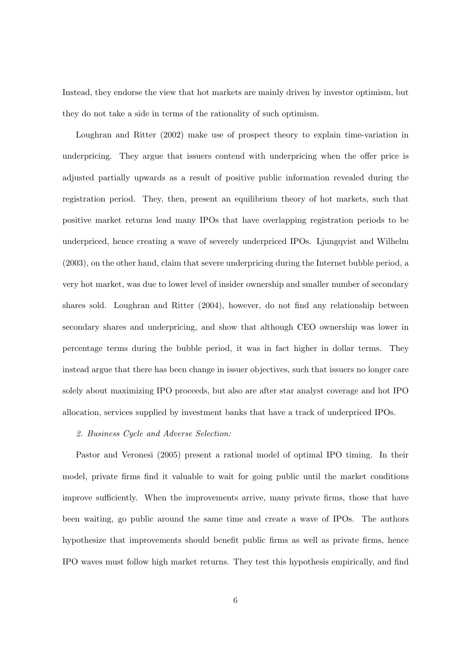Instead, they endorse the view that hot markets are mainly driven by investor optimism, but they do not take a side in terms of the rationality of such optimism.

Loughran and Ritter (2002) make use of prospect theory to explain time-variation in underpricing. They argue that issuers contend with underpricing when the offer price is adjusted partially upwards as a result of positive public information revealed during the registration period. They, then, present an equilibrium theory of hot markets, such that positive market returns lead many IPOs that have overlapping registration periods to be underpriced, hence creating a wave of severely underpriced IPOs. Ljungqvist and Wilhelm (2003), on the other hand, claim that severe underpricing during the Internet bubble period, a very hot market, was due to lower level of insider ownership and smaller number of secondary shares sold. Loughran and Ritter (2004), however, do not find any relationship between secondary shares and underpricing, and show that although CEO ownership was lower in percentage terms during the bubble period, it was in fact higher in dollar terms. They instead argue that there has been change in issuer objectives, such that issuers no longer care solely about maximizing IPO proceeds, but also are after star analyst coverage and hot IPO allocation, services supplied by investment banks that have a track of underpriced IPOs.

#### 2. Business Cycle and Adverse Selection:

Pastor and Veronesi (2005) present a rational model of optimal IPO timing. In their model, private firms find it valuable to wait for going public until the market conditions improve sufficiently. When the improvements arrive, many private firms, those that have been waiting, go public around the same time and create a wave of IPOs. The authors hypothesize that improvements should benefit public firms as well as private firms, hence IPO waves must follow high market returns. They test this hypothesis empirically, and find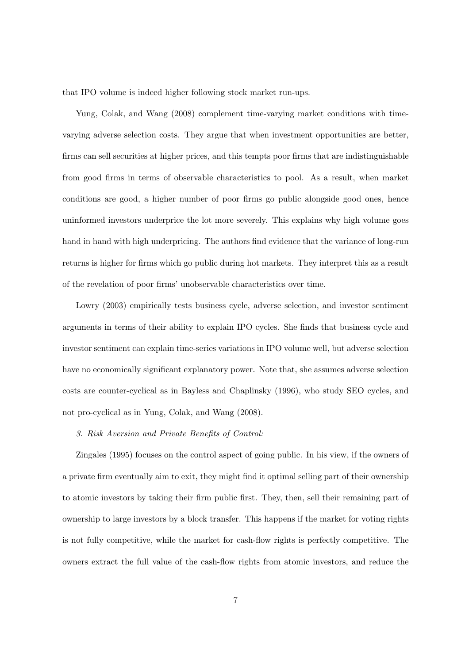that IPO volume is indeed higher following stock market run-ups.

Yung, Colak, and Wang (2008) complement time-varying market conditions with timevarying adverse selection costs. They argue that when investment opportunities are better, firms can sell securities at higher prices, and this tempts poor firms that are indistinguishable from good firms in terms of observable characteristics to pool. As a result, when market conditions are good, a higher number of poor firms go public alongside good ones, hence uninformed investors underprice the lot more severely. This explains why high volume goes hand in hand with high underpricing. The authors find evidence that the variance of long-run returns is higher for firms which go public during hot markets. They interpret this as a result of the revelation of poor firms' unobservable characteristics over time.

Lowry (2003) empirically tests business cycle, adverse selection, and investor sentiment arguments in terms of their ability to explain IPO cycles. She finds that business cycle and investor sentiment can explain time-series variations in IPO volume well, but adverse selection have no economically significant explanatory power. Note that, she assumes adverse selection costs are counter-cyclical as in Bayless and Chaplinsky (1996), who study SEO cycles, and not pro-cyclical as in Yung, Colak, and Wang (2008).

#### 3. Risk Aversion and Private Benefits of Control:

Zingales (1995) focuses on the control aspect of going public. In his view, if the owners of a private firm eventually aim to exit, they might find it optimal selling part of their ownership to atomic investors by taking their firm public first. They, then, sell their remaining part of ownership to large investors by a block transfer. This happens if the market for voting rights is not fully competitive, while the market for cash-flow rights is perfectly competitive. The owners extract the full value of the cash-flow rights from atomic investors, and reduce the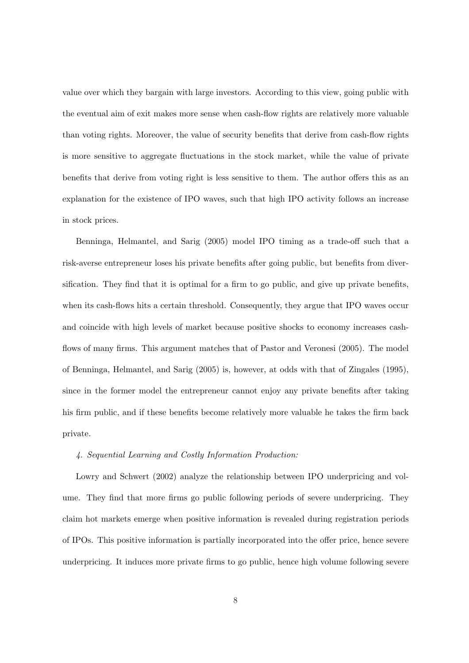value over which they bargain with large investors. According to this view, going public with the eventual aim of exit makes more sense when cash-flow rights are relatively more valuable than voting rights. Moreover, the value of security benefits that derive from cash-flow rights is more sensitive to aggregate fluctuations in the stock market, while the value of private benefits that derive from voting right is less sensitive to them. The author offers this as an explanation for the existence of IPO waves, such that high IPO activity follows an increase in stock prices.

Benninga, Helmantel, and Sarig (2005) model IPO timing as a trade-off such that a risk-averse entrepreneur loses his private benefits after going public, but benefits from diversification. They find that it is optimal for a firm to go public, and give up private benefits, when its cash-flows hits a certain threshold. Consequently, they argue that IPO waves occur and coincide with high levels of market because positive shocks to economy increases cashflows of many firms. This argument matches that of Pastor and Veronesi (2005). The model of Benninga, Helmantel, and Sarig (2005) is, however, at odds with that of Zingales (1995), since in the former model the entrepreneur cannot enjoy any private benefits after taking his firm public, and if these benefits become relatively more valuable he takes the firm back private.

### 4. Sequential Learning and Costly Information Production:

Lowry and Schwert (2002) analyze the relationship between IPO underpricing and volume. They find that more firms go public following periods of severe underpricing. They claim hot markets emerge when positive information is revealed during registration periods of IPOs. This positive information is partially incorporated into the offer price, hence severe underpricing. It induces more private firms to go public, hence high volume following severe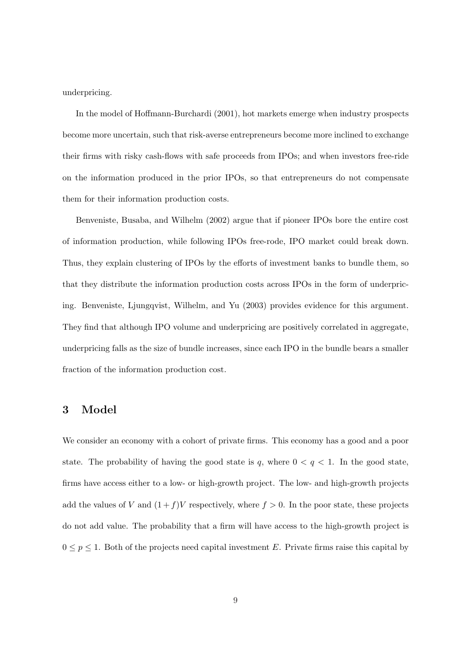underpricing.

In the model of Hoffmann-Burchardi (2001), hot markets emerge when industry prospects become more uncertain, such that risk-averse entrepreneurs become more inclined to exchange their firms with risky cash-flows with safe proceeds from IPOs; and when investors free-ride on the information produced in the prior IPOs, so that entrepreneurs do not compensate them for their information production costs.

Benveniste, Busaba, and Wilhelm (2002) argue that if pioneer IPOs bore the entire cost of information production, while following IPOs free-rode, IPO market could break down. Thus, they explain clustering of IPOs by the efforts of investment banks to bundle them, so that they distribute the information production costs across IPOs in the form of underpricing. Benveniste, Ljungqvist, Wilhelm, and Yu (2003) provides evidence for this argument. They find that although IPO volume and underpricing are positively correlated in aggregate, underpricing falls as the size of bundle increases, since each IPO in the bundle bears a smaller fraction of the information production cost.

# 3 Model

We consider an economy with a cohort of private firms. This economy has a good and a poor state. The probability of having the good state is q, where  $0 < q < 1$ . In the good state, firms have access either to a low- or high-growth project. The low- and high-growth projects add the values of V and  $(1+f)V$  respectively, where  $f > 0$ . In the poor state, these projects do not add value. The probability that a firm will have access to the high-growth project is  $0 \leq p \leq 1$ . Both of the projects need capital investment E. Private firms raise this capital by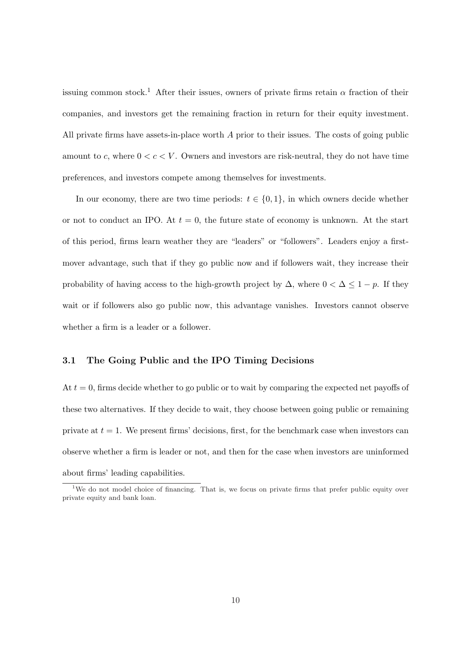issuing common stock.<sup>1</sup> After their issues, owners of private firms retain  $\alpha$  fraction of their companies, and investors get the remaining fraction in return for their equity investment. All private firms have assets-in-place worth  $A$  prior to their issues. The costs of going public amount to c, where  $0 < c < V$ . Owners and investors are risk-neutral, they do not have time preferences, and investors compete among themselves for investments.

In our economy, there are two time periods:  $t \in \{0, 1\}$ , in which owners decide whether or not to conduct an IPO. At  $t = 0$ , the future state of economy is unknown. At the start of this period, firms learn weather they are "leaders" or "followers". Leaders enjoy a firstmover advantage, such that if they go public now and if followers wait, they increase their probability of having access to the high-growth project by  $\Delta$ , where  $0 < \Delta \leq 1 - p$ . If they wait or if followers also go public now, this advantage vanishes. Investors cannot observe whether a firm is a leader or a follower.

### 3.1 The Going Public and the IPO Timing Decisions

At  $t = 0$ , firms decide whether to go public or to wait by comparing the expected net payoffs of these two alternatives. If they decide to wait, they choose between going public or remaining private at  $t = 1$ . We present firms' decisions, first, for the benchmark case when investors can observe whether a firm is leader or not, and then for the case when investors are uninformed about firms' leading capabilities.

<sup>&</sup>lt;sup>1</sup>We do not model choice of financing. That is, we focus on private firms that prefer public equity over private equity and bank loan.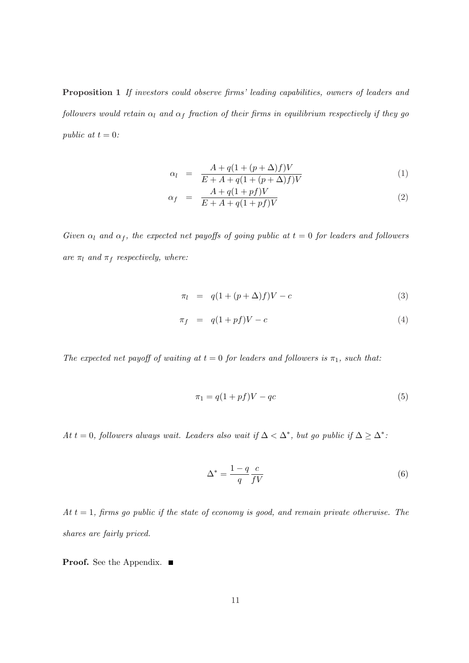Proposition 1 If investors could observe firms' leading capabilities, owners of leaders and followers would retain  $\alpha_l$  and  $\alpha_f$  fraction of their firms in equilibrium respectively if they go public at  $t = 0$ :

$$
\alpha_l = \frac{A + q(1 + (p + \Delta)f)V}{E + A + q(1 + (p + \Delta)f)V} \tag{1}
$$

$$
\alpha_f = \frac{A + q(1 + pf)V}{E + A + q(1 + pf)V} \tag{2}
$$

Given  $\alpha_l$  and  $\alpha_f$ , the expected net payoffs of going public at  $t = 0$  for leaders and followers are  $\pi_l$  and  $\pi_f$  respectively, where:

$$
\pi_l = q(1 + (p + \Delta)f)V - c \tag{3}
$$

$$
\pi_f = q(1 + pf)V - c \tag{4}
$$

The expected net payoff of waiting at  $t = 0$  for leaders and followers is  $\pi_1$ , such that:

$$
\pi_1 = q(1 + pf)V - qc \tag{5}
$$

At t = 0, followers always wait. Leaders also wait if  $\Delta < \Delta^*$ , but go public if  $\Delta \geq \Delta^*$ :

$$
\Delta^* = \frac{1-q}{q} \frac{c}{fV} \tag{6}
$$

At  $t = 1$ , firms go public if the state of economy is good, and remain private otherwise. The shares are fairly priced.

**Proof.** See the Appendix. ■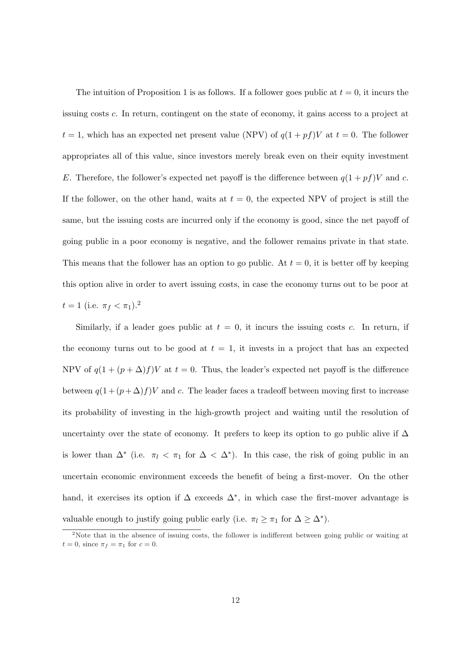The intuition of Proposition 1 is as follows. If a follower goes public at  $t = 0$ , it incurs the issuing costs c. In return, contingent on the state of economy, it gains access to a project at  $t = 1$ , which has an expected net present value (NPV) of  $q(1 + pf)V$  at  $t = 0$ . The follower appropriates all of this value, since investors merely break even on their equity investment E. Therefore, the follower's expected net payoff is the difference between  $q(1 + pf)V$  and c. If the follower, on the other hand, waits at  $t = 0$ , the expected NPV of project is still the same, but the issuing costs are incurred only if the economy is good, since the net payoff of going public in a poor economy is negative, and the follower remains private in that state. This means that the follower has an option to go public. At  $t = 0$ , it is better off by keeping this option alive in order to avert issuing costs, in case the economy turns out to be poor at  $t = 1$  (i.e.  $\pi_f < \pi_1$ ).<sup>2</sup>

Similarly, if a leader goes public at  $t = 0$ , it incurs the issuing costs c. In return, if the economy turns out to be good at  $t = 1$ , it invests in a project that has an expected NPV of  $q(1 + (p + \Delta)f)V$  at  $t = 0$ . Thus, the leader's expected net payoff is the difference between  $q(1+(p+\Delta)f)V$  and c. The leader faces a tradeoff between moving first to increase its probability of investing in the high-growth project and waiting until the resolution of uncertainty over the state of economy. It prefers to keep its option to go public alive if  $\Delta$ is lower than  $\Delta^*$  (i.e.  $\pi_l < \pi_1$  for  $\Delta < \Delta^*$ ). In this case, the risk of going public in an uncertain economic environment exceeds the benefit of being a first-mover. On the other hand, it exercises its option if  $\Delta$  exceeds  $\Delta^*$ , in which case the first-mover advantage is valuable enough to justify going public early (i.e.  $\pi_l \geq \pi_1$  for  $\Delta \geq \Delta^*$ ).

<sup>&</sup>lt;sup>2</sup>Note that in the absence of issuing costs, the follower is indifferent between going public or waiting at  $t = 0$ , since  $\pi_f = \pi_1$  for  $c = 0$ .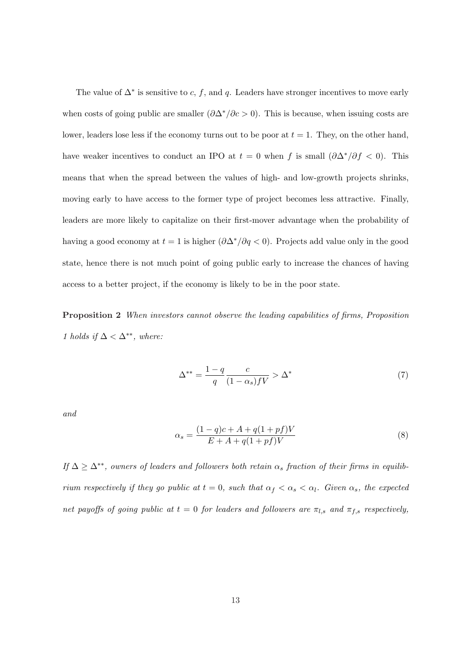The value of  $\Delta^*$  is sensitive to c, f, and q. Leaders have stronger incentives to move early when costs of going public are smaller  $(\partial \Delta^*/\partial c > 0)$ . This is because, when issuing costs are lower, leaders lose less if the economy turns out to be poor at  $t = 1$ . They, on the other hand, have weaker incentives to conduct an IPO at  $t = 0$  when f is small  $(\partial \Delta^*)/\partial f < 0$ . This means that when the spread between the values of high- and low-growth projects shrinks, moving early to have access to the former type of project becomes less attractive. Finally, leaders are more likely to capitalize on their first-mover advantage when the probability of having a good economy at  $t = 1$  is higher  $(\partial \Delta^*/\partial q < 0)$ . Projects add value only in the good state, hence there is not much point of going public early to increase the chances of having access to a better project, if the economy is likely to be in the poor state.

Proposition 2 When investors cannot observe the leading capabilities of firms, Proposition 1 holds if  $\Delta < \Delta^{**}$ , where:

$$
\Delta^{**} = \frac{1-q}{q} \frac{c}{(1-\alpha_s)fV} > \Delta^* \tag{7}
$$

and

$$
\alpha_s = \frac{(1-q)c + A + q(1 + pf)V}{E + A + q(1 + pf)V} \tag{8}
$$

If  $\Delta \geq \Delta^{**}$ , owners of leaders and followers both retain  $\alpha_s$  fraction of their firms in equilibrium respectively if they go public at  $t = 0$ , such that  $\alpha_f < \alpha_s < \alpha_l$ . Given  $\alpha_s$ , the expected net payoffs of going public at  $t = 0$  for leaders and followers are  $\pi_{l,s}$  and  $\pi_{f,s}$  respectively,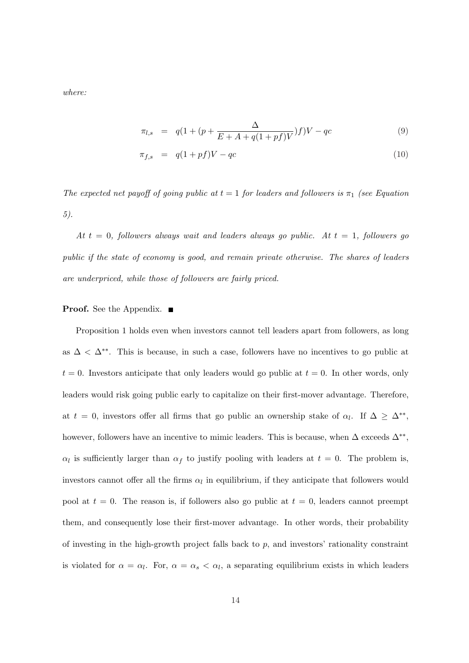where:

$$
\pi_{l,s} = q(1 + (p + \frac{\Delta}{E + A + q(1 + pf)V})f)V - qc \tag{9}
$$

$$
\pi_{f,s} = q(1+pf)V - qc \tag{10}
$$

The expected net payoff of going public at  $t = 1$  for leaders and followers is  $\pi_1$  (see Equation 5).

At  $t = 0$ , followers always wait and leaders always go public. At  $t = 1$ , followers go public if the state of economy is good, and remain private otherwise. The shares of leaders are underpriced, while those of followers are fairly priced.

## **Proof.** See the Appendix. ■

Proposition 1 holds even when investors cannot tell leaders apart from followers, as long as  $\Delta < \Delta^{**}$ . This is because, in such a case, followers have no incentives to go public at  $t = 0$ . Investors anticipate that only leaders would go public at  $t = 0$ . In other words, only leaders would risk going public early to capitalize on their first-mover advantage. Therefore, at  $t = 0$ , investors offer all firms that go public an ownership stake of  $\alpha_l$ . If  $\Delta \geq \Delta^{**}$ , however, followers have an incentive to mimic leaders. This is because, when  $\Delta$  exceeds  $\Delta^{**}$ ,  $\alpha_l$  is sufficiently larger than  $\alpha_f$  to justify pooling with leaders at  $t = 0$ . The problem is, investors cannot offer all the firms  $\alpha_l$  in equilibrium, if they anticipate that followers would pool at  $t = 0$ . The reason is, if followers also go public at  $t = 0$ , leaders cannot preempt them, and consequently lose their first-mover advantage. In other words, their probability of investing in the high-growth project falls back to  $p$ , and investors' rationality constraint is violated for  $\alpha = \alpha_l$ . For,  $\alpha = \alpha_s < \alpha_l$ , a separating equilibrium exists in which leaders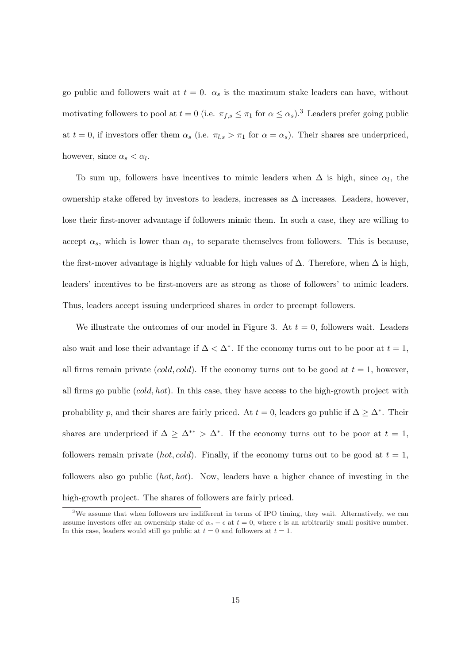go public and followers wait at  $t = 0$ .  $\alpha_s$  is the maximum stake leaders can have, without motivating followers to pool at  $t = 0$  (i.e.  $\pi_{f,s} \leq \pi_1$  for  $\alpha \leq \alpha_s$ ).<sup>3</sup> Leaders prefer going public at  $t = 0$ , if investors offer them  $\alpha_s$  (i.e.  $\pi_{l,s} > \pi_1$  for  $\alpha = \alpha_s$ ). Their shares are underpriced, however, since  $\alpha_s < \alpha_l$ .

To sum up, followers have incentives to mimic leaders when  $\Delta$  is high, since  $\alpha_l$ , the ownership stake offered by investors to leaders, increases as  $\Delta$  increases. Leaders, however, lose their first-mover advantage if followers mimic them. In such a case, they are willing to accept  $\alpha_s$ , which is lower than  $\alpha_l$ , to separate themselves from followers. This is because, the first-mover advantage is highly valuable for high values of  $\Delta$ . Therefore, when  $\Delta$  is high, leaders' incentives to be first-movers are as strong as those of followers' to mimic leaders. Thus, leaders accept issuing underpriced shares in order to preempt followers.

We illustrate the outcomes of our model in Figure 3. At  $t = 0$ , followers wait. Leaders also wait and lose their advantage if  $\Delta < \Delta^*$ . If the economy turns out to be poor at  $t = 1$ , all firms remain private  $(cold, cold)$ . If the economy turns out to be good at  $t = 1$ , however, all firms go public  $(cold, hot)$ . In this case, they have access to the high-growth project with probability p, and their shares are fairly priced. At  $t = 0$ , leaders go public if  $\Delta \geq \Delta^*$ . Their shares are underpriced if  $\Delta \geq \Delta^{**} > \Delta^*$ . If the economy turns out to be poor at  $t = 1$ , followers remain private (hot, cold). Finally, if the economy turns out to be good at  $t = 1$ , followers also go public (hot, hot). Now, leaders have a higher chance of investing in the high-growth project. The shares of followers are fairly priced.

<sup>&</sup>lt;sup>3</sup>We assume that when followers are indifferent in terms of IPO timing, they wait. Alternatively, we can assume investors offer an ownership stake of  $\alpha_s - \epsilon$  at  $t = 0$ , where  $\epsilon$  is an arbitrarily small positive number. In this case, leaders would still go public at  $t = 0$  and followers at  $t = 1$ .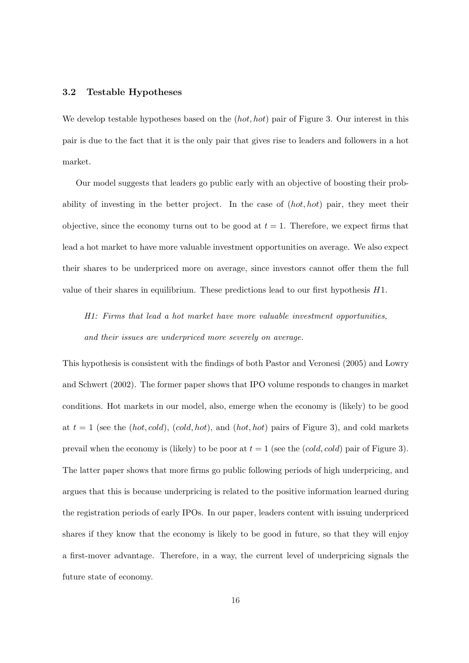## 3.2 Testable Hypotheses

We develop testable hypotheses based on the  $(hot, hot)$  pair of Figure 3. Our interest in this pair is due to the fact that it is the only pair that gives rise to leaders and followers in a hot market.

Our model suggests that leaders go public early with an objective of boosting their probability of investing in the better project. In the case of  $(hot, hot)$  pair, they meet their objective, since the economy turns out to be good at  $t = 1$ . Therefore, we expect firms that lead a hot market to have more valuable investment opportunities on average. We also expect their shares to be underpriced more on average, since investors cannot offer them the full value of their shares in equilibrium. These predictions lead to our first hypothesis  $H1$ .

H1: Firms that lead a hot market have more valuable investment opportunities, and their issues are underpriced more severely on average.

This hypothesis is consistent with the findings of both Pastor and Veronesi (2005) and Lowry and Schwert (2002). The former paper shows that IPO volume responds to changes in market conditions. Hot markets in our model, also, emerge when the economy is (likely) to be good at  $t = 1$  (see the (hot, cold), (cold, hot), and (hot, hot) pairs of Figure 3), and cold markets prevail when the economy is (likely) to be poor at  $t = 1$  (see the (cold, cold) pair of Figure 3). The latter paper shows that more firms go public following periods of high underpricing, and argues that this is because underpricing is related to the positive information learned during the registration periods of early IPOs. In our paper, leaders content with issuing underpriced shares if they know that the economy is likely to be good in future, so that they will enjoy a first-mover advantage. Therefore, in a way, the current level of underpricing signals the future state of economy.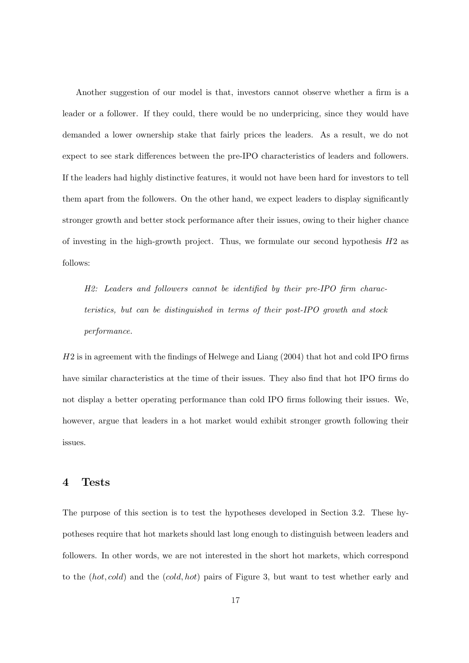Another suggestion of our model is that, investors cannot observe whether a firm is a leader or a follower. If they could, there would be no underpricing, since they would have demanded a lower ownership stake that fairly prices the leaders. As a result, we do not expect to see stark differences between the pre-IPO characteristics of leaders and followers. If the leaders had highly distinctive features, it would not have been hard for investors to tell them apart from the followers. On the other hand, we expect leaders to display significantly stronger growth and better stock performance after their issues, owing to their higher chance of investing in the high-growth project. Thus, we formulate our second hypothesis  $H2$  as follows:

H2: Leaders and followers cannot be identified by their pre-IPO firm characteristics, but can be distinguished in terms of their post-IPO growth and stock performance.

H2 is in agreement with the findings of Helwege and Liang (2004) that hot and cold IPO firms have similar characteristics at the time of their issues. They also find that hot IPO firms do not display a better operating performance than cold IPO firms following their issues. We, however, argue that leaders in a hot market would exhibit stronger growth following their issues.

# 4 Tests

The purpose of this section is to test the hypotheses developed in Section 3.2. These hypotheses require that hot markets should last long enough to distinguish between leaders and followers. In other words, we are not interested in the short hot markets, which correspond to the  $(hot, cold)$  and the  $(cold, hot)$  pairs of Figure 3, but want to test whether early and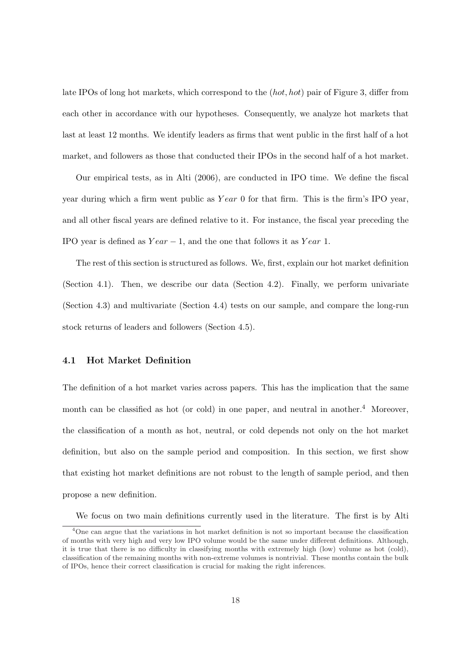late IPOs of long hot markets, which correspond to the  $(hot, hot)$  pair of Figure 3, differ from each other in accordance with our hypotheses. Consequently, we analyze hot markets that last at least 12 months. We identify leaders as firms that went public in the first half of a hot market, and followers as those that conducted their IPOs in the second half of a hot market.

Our empirical tests, as in Alti (2006), are conducted in IPO time. We define the fiscal year during which a firm went public as  $Year\ 0$  for that firm. This is the firm's IPO year, and all other fiscal years are defined relative to it. For instance, the fiscal year preceding the IPO year is defined as  $Year - 1$ , and the one that follows it as  $Year 1$ .

The rest of this section is structured as follows. We, first, explain our hot market definition (Section 4.1). Then, we describe our data (Section 4.2). Finally, we perform univariate (Section 4.3) and multivariate (Section 4.4) tests on our sample, and compare the long-run stock returns of leaders and followers (Section 4.5).

## 4.1 Hot Market Definition

The definition of a hot market varies across papers. This has the implication that the same month can be classified as hot (or cold) in one paper, and neutral in another.<sup>4</sup> Moreover, the classification of a month as hot, neutral, or cold depends not only on the hot market definition, but also on the sample period and composition. In this section, we first show that existing hot market definitions are not robust to the length of sample period, and then propose a new definition.

We focus on two main definitions currently used in the literature. The first is by Alti

<sup>&</sup>lt;sup>4</sup>One can argue that the variations in hot market definition is not so important because the classification of months with very high and very low IPO volume would be the same under different definitions. Although, it is true that there is no difficulty in classifying months with extremely high (low) volume as hot (cold), classification of the remaining months with non-extreme volumes is nontrivial. These months contain the bulk of IPOs, hence their correct classification is crucial for making the right inferences.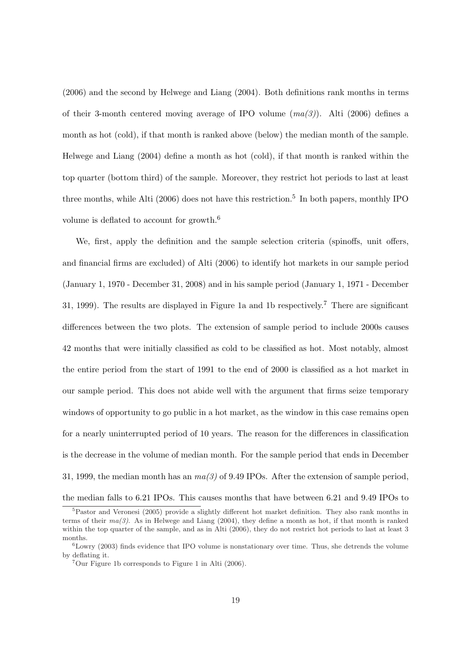(2006) and the second by Helwege and Liang (2004). Both definitions rank months in terms of their 3-month centered moving average of IPO volume  $(ma(3))$ . Alti (2006) defines a month as hot (cold), if that month is ranked above (below) the median month of the sample. Helwege and Liang (2004) define a month as hot (cold), if that month is ranked within the top quarter (bottom third) of the sample. Moreover, they restrict hot periods to last at least three months, while Alti (2006) does not have this restriction.<sup>5</sup> In both papers, monthly IPO volume is deflated to account for growth.<sup>6</sup>

We, first, apply the definition and the sample selection criteria (spinoffs, unit offers, and financial firms are excluded) of Alti (2006) to identify hot markets in our sample period (January 1, 1970 - December 31, 2008) and in his sample period (January 1, 1971 - December 31, 1999). The results are displayed in Figure 1a and 1b respectively.<sup>7</sup> There are significant differences between the two plots. The extension of sample period to include 2000s causes 42 months that were initially classified as cold to be classified as hot. Most notably, almost the entire period from the start of 1991 to the end of 2000 is classified as a hot market in our sample period. This does not abide well with the argument that firms seize temporary windows of opportunity to go public in a hot market, as the window in this case remains open for a nearly uninterrupted period of 10 years. The reason for the differences in classification is the decrease in the volume of median month. For the sample period that ends in December 31, 1999, the median month has an  $ma(3)$  of 9.49 IPOs. After the extension of sample period,

the median falls to 6.21 IPOs. This causes months that have between 6.21 and 9.49 IPOs to

<sup>5</sup>Pastor and Veronesi (2005) provide a slightly different hot market definition. They also rank months in terms of their  $ma(3)$ . As in Helwege and Liang (2004), they define a month as hot, if that month is ranked within the top quarter of the sample, and as in Alti (2006), they do not restrict hot periods to last at least 3 months.

 ${}^{6}$ Lowry (2003) finds evidence that IPO volume is nonstationary over time. Thus, she detrends the volume by deflating it.

 $7$ Our Figure 1b corresponds to Figure 1 in Alti (2006).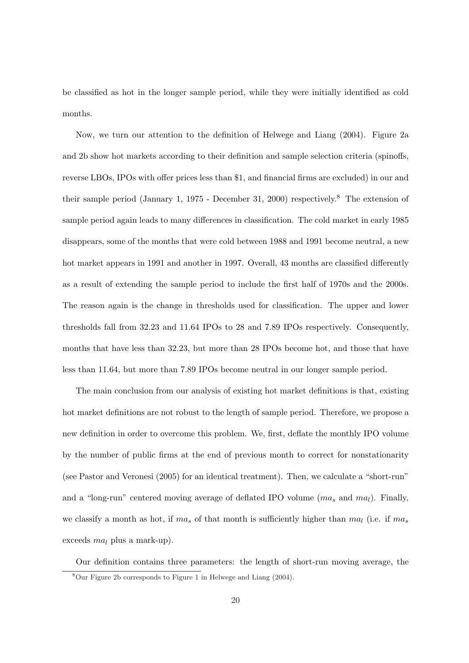be classified as hot in the longer sample period, while they were initially identified as cold months.

Now, we turn our attention to the definition of Helwege and Liang (2004). Figure 2a and 2b show hot markets according to their definition and sample selection criteria (spinoffs, reverse LBOs, IPOs with offer prices less than \$1, and financial firms are excluded) in our and their sample period (January 1, 1975 - December 31, 2000) respectively.<sup>8</sup> The extension of sample period again leads to many differences in classification. The cold market in early 1985 disappears, some of the months that were cold between 1988 and 1991 become neutral, a new hot market appears in 1991 and another in 1997. Overall, 43 months are classified differently as a result of extending the sample period to include the first half of 1970s and the 2000s. The reason again is the change in thresholds used for classification. The upper and lower thresholds fall from 32.23 and 11.64 IPOs to 28 and 7.89 IPOs respectively. Consequently, months that have less than 32.23, but more than 28 IPOs become hot, and those that have less than 11.64, but more than 7.89 IPOs become neutral in our longer sample period.

The main conclusion from our analysis of existing hot market definitions is that, existing hot market definitions are not robust to the length of sample period. Therefore, we propose a new definition in order to overcome this problem. We, first, deflate the monthly IPO volume by the number of public firms at the end of previous month to correct for nonstationarity (see Pastor and Veronesi (2005) for an identical treatment). Then, we calculate a "short-run" and a "long-run" centered moving average of deflated IPO volume  $(ma_s \text{ and } ma_l)$ . Finally, we classify a month as hot, if  $ma_s$  of that month is sufficiently higher than  $ma_l$  (i.e. if  $ma_s$ exceeds  $ma_l$  plus a mark-up).

Our definition contains three parameters: the length of short-run moving average, the <sup>8</sup>Our Figure 2b corresponds to Figure 1 in Helwege and Liang (2004).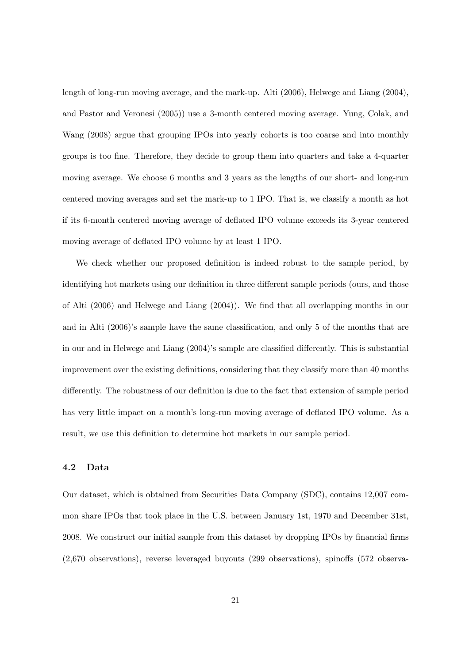length of long-run moving average, and the mark-up. Alti (2006), Helwege and Liang (2004), and Pastor and Veronesi (2005)) use a 3-month centered moving average. Yung, Colak, and Wang (2008) argue that grouping IPOs into yearly cohorts is too coarse and into monthly groups is too fine. Therefore, they decide to group them into quarters and take a 4-quarter moving average. We choose 6 months and 3 years as the lengths of our short- and long-run centered moving averages and set the mark-up to 1 IPO. That is, we classify a month as hot if its 6-month centered moving average of deflated IPO volume exceeds its 3-year centered moving average of deflated IPO volume by at least 1 IPO.

We check whether our proposed definition is indeed robust to the sample period, by identifying hot markets using our definition in three different sample periods (ours, and those of Alti (2006) and Helwege and Liang (2004)). We find that all overlapping months in our and in Alti (2006)'s sample have the same classification, and only 5 of the months that are in our and in Helwege and Liang (2004)'s sample are classified differently. This is substantial improvement over the existing definitions, considering that they classify more than 40 months differently. The robustness of our definition is due to the fact that extension of sample period has very little impact on a month's long-run moving average of deflated IPO volume. As a result, we use this definition to determine hot markets in our sample period.

### 4.2 Data

Our dataset, which is obtained from Securities Data Company (SDC), contains 12,007 common share IPOs that took place in the U.S. between January 1st, 1970 and December 31st, 2008. We construct our initial sample from this dataset by dropping IPOs by financial firms (2,670 observations), reverse leveraged buyouts (299 observations), spinoffs (572 observa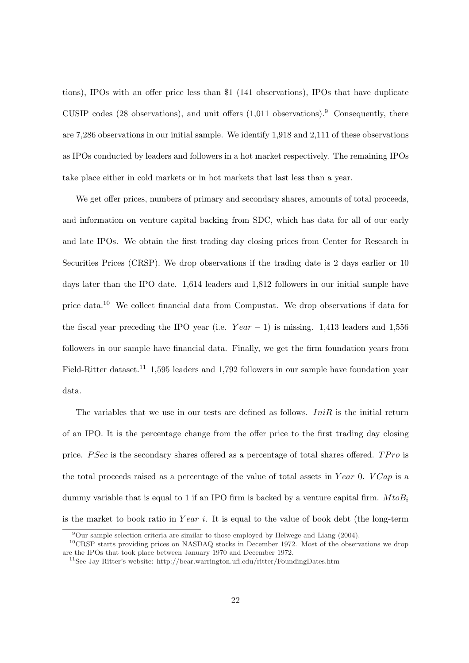tions), IPOs with an offer price less than \$1 (141 observations), IPOs that have duplicate CUSIP codes (28 observations), and unit offers  $(1,011)$  observations).<sup>9</sup> Consequently, there are 7,286 observations in our initial sample. We identify 1,918 and 2,111 of these observations as IPOs conducted by leaders and followers in a hot market respectively. The remaining IPOs take place either in cold markets or in hot markets that last less than a year.

We get offer prices, numbers of primary and secondary shares, amounts of total proceeds, and information on venture capital backing from SDC, which has data for all of our early and late IPOs. We obtain the first trading day closing prices from Center for Research in Securities Prices (CRSP). We drop observations if the trading date is 2 days earlier or 10 days later than the IPO date. 1,614 leaders and 1,812 followers in our initial sample have price data.<sup>10</sup> We collect financial data from Compustat. We drop observations if data for the fiscal year preceding the IPO year (i.e.  $Year - 1$ ) is missing. 1,413 leaders and 1,556 followers in our sample have financial data. Finally, we get the firm foundation years from Field-Ritter dataset.<sup>11</sup> 1,595 leaders and 1,792 followers in our sample have foundation year data.

The variables that we use in our tests are defined as follows.  $IniR$  is the initial return of an IPO. It is the percentage change from the offer price to the first trading day closing price. P Sec is the secondary shares offered as a percentage of total shares offered.  $TPro$  is the total proceeds raised as a percentage of the value of total assets in Year 0. VCap is a dummy variable that is equal to 1 if an IPO firm is backed by a venture capital firm.  $M to B_i$ is the market to book ratio in Year i. It is equal to the value of book debt (the long-term

<sup>9</sup>Our sample selection criteria are similar to those employed by Helwege and Liang (2004).

<sup>&</sup>lt;sup>10</sup>CRSP starts providing prices on NASDAQ stocks in December 1972. Most of the observations we drop are the IPOs that took place between January 1970 and December 1972.

<sup>11</sup>See Jay Ritter's website: http://bear.warrington.ufl.edu/ritter/FoundingDates.htm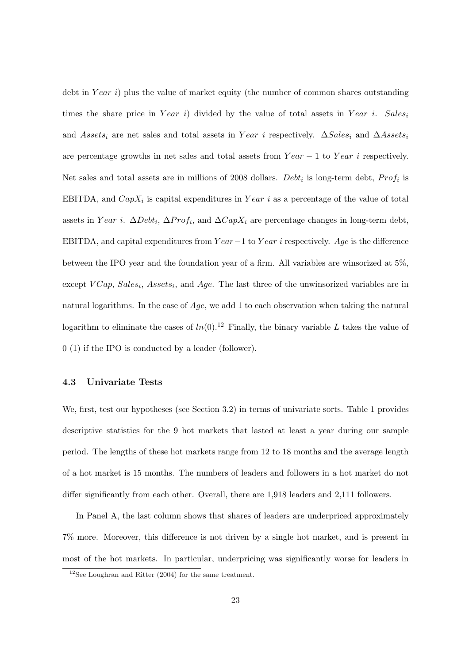debt in  $Year\ i)$  plus the value of market equity (the number of common shares outstanding times the share price in Year i) divided by the value of total assets in Year i. Salesi and Assets<sub>i</sub> are net sales and total assets in Year i respectively.  $\Delta Sales_i$  and  $\Delta Assets_i$ are percentage growths in net sales and total assets from  $Year - 1$  to  $Year$  i respectively. Net sales and total assets are in millions of 2008 dollars. Debt<sub>i</sub> is long-term debt,  $Prof_i$  is EBITDA, and  $Cap X_i$  is capital expenditures in  $Year$  i as a percentage of the value of total assets in Year i.  $\Delta Debt_i$ ,  $\Delta Prof_i$ , and  $\Delta CapX_i$  are percentage changes in long-term debt, EBITDA, and capital expenditures from  $Year-1$  to  $Year$  i respectively. Age is the difference between the IPO year and the foundation year of a firm. All variables are winsorized at 5%, except  $VCap$ ,  $Sales_i$ ,  $Assets_i$ , and  $Age$ . The last three of the unwinsorized variables are in natural logarithms. In the case of Age, we add 1 to each observation when taking the natural logarithm to eliminate the cases of  $ln(0).<sup>12</sup>$  Finally, the binary variable L takes the value of 0 (1) if the IPO is conducted by a leader (follower).

## 4.3 Univariate Tests

We, first, test our hypotheses (see Section 3.2) in terms of univariate sorts. Table 1 provides descriptive statistics for the 9 hot markets that lasted at least a year during our sample period. The lengths of these hot markets range from 12 to 18 months and the average length of a hot market is 15 months. The numbers of leaders and followers in a hot market do not differ significantly from each other. Overall, there are 1,918 leaders and 2,111 followers.

In Panel A, the last column shows that shares of leaders are underpriced approximately 7% more. Moreover, this difference is not driven by a single hot market, and is present in most of the hot markets. In particular, underpricing was significantly worse for leaders in

<sup>&</sup>lt;sup>12</sup>See Loughran and Ritter  $(2004)$  for the same treatment.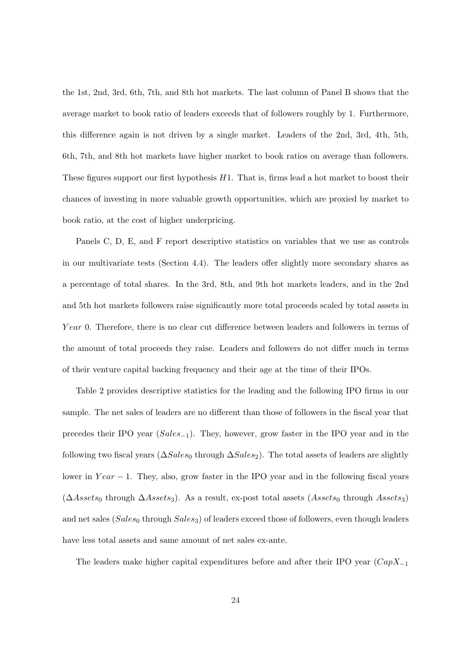the 1st, 2nd, 3rd, 6th, 7th, and 8th hot markets. The last column of Panel B shows that the average market to book ratio of leaders exceeds that of followers roughly by 1. Furthermore, this difference again is not driven by a single market. Leaders of the 2nd, 3rd, 4th, 5th, 6th, 7th, and 8th hot markets have higher market to book ratios on average than followers. These figures support our first hypothesis  $H1$ . That is, firms lead a hot market to boost their chances of investing in more valuable growth opportunities, which are proxied by market to book ratio, at the cost of higher underpricing.

Panels C, D, E, and F report descriptive statistics on variables that we use as controls in our multivariate tests (Section 4.4). The leaders offer slightly more secondary shares as a percentage of total shares. In the 3rd, 8th, and 9th hot markets leaders, and in the 2nd and 5th hot markets followers raise significantly more total proceeds scaled by total assets in Year 0. Therefore, there is no clear cut difference between leaders and followers in terms of the amount of total proceeds they raise. Leaders and followers do not differ much in terms of their venture capital backing frequency and their age at the time of their IPOs.

Table 2 provides descriptive statistics for the leading and the following IPO firms in our sample. The net sales of leaders are no different than those of followers in the fiscal year that precedes their IPO year (Sales−1). They, however, grow faster in the IPO year and in the following two fiscal years ( $\Delta Sales_0$  through  $\Delta Sales_2$ ). The total assets of leaders are slightly lower in  $Year - 1$ . They, also, grow faster in the IPO year and in the following fiscal years  $(\Delta Assets_0 \text{ through } \Delta Assets_3)$ . As a result, ex-post total assets  $(Assets_0 \text{ through } Assets_3)$ and net sales ( $Sales<sub>0</sub>$  through  $Sales<sub>3</sub>$ ) of leaders exceed those of followers, even though leaders have less total assets and same amount of net sales ex-ante.

The leaders make higher capital expenditures before and after their IPO year  $(CapX_{-1}$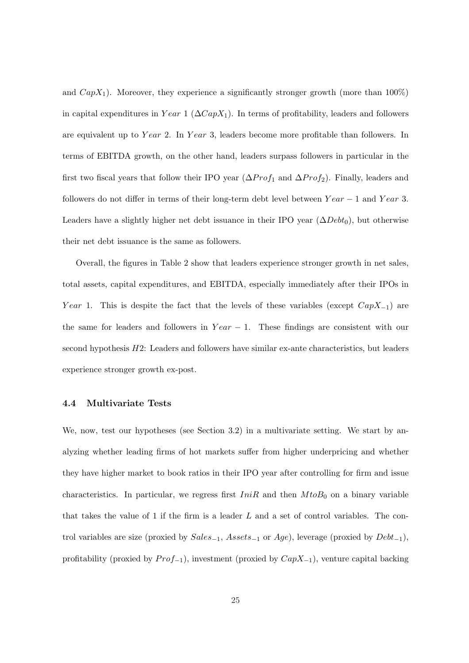and  $CapX_1$ ). Moreover, they experience a significantly stronger growth (more than 100%) in capital expenditures in Year 1 ( $\Delta CapX_1$ ). In terms of profitability, leaders and followers are equivalent up to Year 2. In Year 3, leaders become more profitable than followers. In terms of EBITDA growth, on the other hand, leaders surpass followers in particular in the first two fiscal years that follow their IPO year  $(\Delta Prof_1$  and  $\Delta Prof_2$ ). Finally, leaders and followers do not differ in terms of their long-term debt level between  $Year - 1$  and  $Year 3$ . Leaders have a slightly higher net debt issuance in their IPO year  $(\Delta Debt_0)$ , but otherwise their net debt issuance is the same as followers.

Overall, the figures in Table 2 show that leaders experience stronger growth in net sales, total assets, capital expenditures, and EBITDA, especially immediately after their IPOs in Year 1. This is despite the fact that the levels of these variables (except  $CapX_{-1}$ ) are the same for leaders and followers in  $Year - 1$ . These findings are consistent with our second hypothesis  $H2$ : Leaders and followers have similar ex-ante characteristics, but leaders experience stronger growth ex-post.

### 4.4 Multivariate Tests

We, now, test our hypotheses (see Section 3.2) in a multivariate setting. We start by analyzing whether leading firms of hot markets suffer from higher underpricing and whether they have higher market to book ratios in their IPO year after controlling for firm and issue characteristics. In particular, we regress first  $IniR$  and then  $MtoB_0$  on a binary variable that takes the value of 1 if the firm is a leader  $L$  and a set of control variables. The control variables are size (proxied by  $Sales_{-1}$ ,  $Assets_{-1}$  or  $Age$ ), leverage (proxied by  $Debt_{-1}$ ), profitability (proxied by  $Prof_{-1}$ ), investment (proxied by  $CapX_{-1}$ ), venture capital backing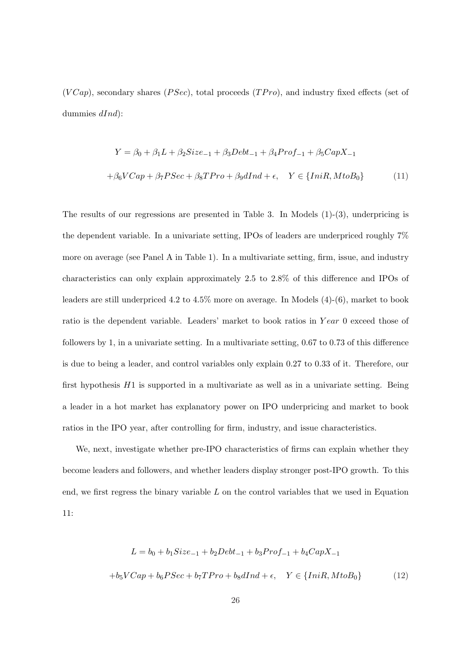$(VCap)$ , secondary shares  $(PSec)$ , total proceeds  $(TPro)$ , and industry fixed effects (set of dummies  $dInd$ :

$$
Y = \beta_0 + \beta_1 L + \beta_2 Size_{-1} + \beta_3 Debt_{-1} + \beta_4 Prof_{-1} + \beta_5 CapX_{-1}
$$
  
+
$$
\beta_6 VCap + \beta_7 PSec + \beta_8 TPro + \beta_9 dInd + \epsilon, \quad Y \in \{IniR, MtoB_0\}
$$
 (11)

The results of our regressions are presented in Table 3. In Models  $(1)-(3)$ , underpricing is the dependent variable. In a univariate setting, IPOs of leaders are underpriced roughly 7% more on average (see Panel A in Table 1). In a multivariate setting, firm, issue, and industry characteristics can only explain approximately 2.5 to 2.8% of this difference and IPOs of leaders are still underpriced 4.2 to 4.5% more on average. In Models (4)-(6), market to book ratio is the dependent variable. Leaders' market to book ratios in  $Year$  0 exceed those of followers by 1, in a univariate setting. In a multivariate setting, 0.67 to 0.73 of this difference is due to being a leader, and control variables only explain 0.27 to 0.33 of it. Therefore, our first hypothesis  $H1$  is supported in a multivariate as well as in a univariate setting. Being a leader in a hot market has explanatory power on IPO underpricing and market to book ratios in the IPO year, after controlling for firm, industry, and issue characteristics.

We, next, investigate whether pre-IPO characteristics of firms can explain whether they become leaders and followers, and whether leaders display stronger post-IPO growth. To this end, we first regress the binary variable  $L$  on the control variables that we used in Equation 11:

$$
L = b_0 + b_1 Size_{-1} + b_2Debt_{-1} + b_3Prof_{-1} + b_4 CapX_{-1}
$$

$$
+ b_5 VCap + b_6 PSec + b_7 TPro + b_8 dInd + \epsilon, \quad Y \in \{IniR, MtoB_0\}
$$
(12)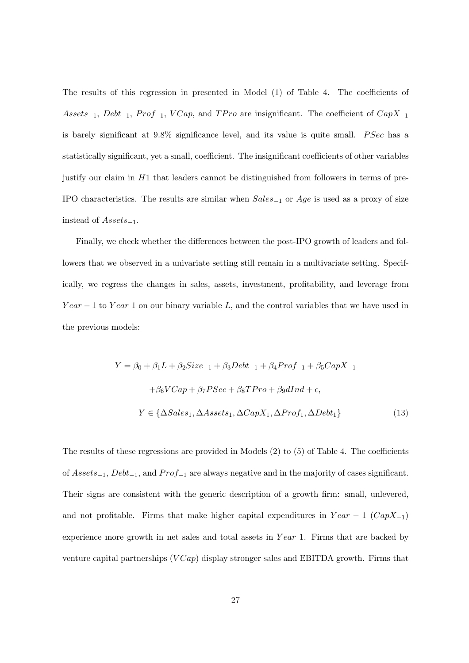The results of this regression in presented in Model (1) of Table 4. The coefficients of Assets<sub>−1</sub>, Debt<sub>−1</sub>, Prof<sub>−1</sub>, VCap, and TPro are insignificant. The coefficient of CapX<sub>−1</sub> is barely significant at  $9.8\%$  significance level, and its value is quite small. *PSec* has a statistically significant, yet a small, coefficient. The insignificant coefficients of other variables justify our claim in H1 that leaders cannot be distinguished from followers in terms of pre-IPO characteristics. The results are similar when  $Sales_{-1}$  or  $Age$  is used as a proxy of size instead of  $Assets_{-1}$ .

Finally, we check whether the differences between the post-IPO growth of leaders and followers that we observed in a univariate setting still remain in a multivariate setting. Specifically, we regress the changes in sales, assets, investment, profitability, and leverage from  $Year - 1$  to  $Year 1$  on our binary variable L, and the control variables that we have used in the previous models:

$$
Y = \beta_0 + \beta_1 L + \beta_2 Size_{-1} + \beta_3 Debt_{-1} + \beta_4 Prof_{-1} + \beta_5 CapX_{-1}
$$

$$
+ \beta_6 VCap + \beta_7 PSec + \beta_8 TPro + \beta_9 dInd + \epsilon,
$$

$$
Y \in \{\Delta Sales_1, \Delta Assets_1, \Delta CapX_1, \Delta Prof_1, \Delta Debt_1\}
$$
(13)

The results of these regressions are provided in Models (2) to (5) of Table 4. The coefficients of  $Assets_{-1}$ ,  $Debt_{-1}$ , and  $Prof_{-1}$  are always negative and in the majority of cases significant. Their signs are consistent with the generic description of a growth firm: small, unlevered, and not profitable. Firms that make higher capital expenditures in  $Year - 1$  ( $CapX_{-1}$ ) experience more growth in net sales and total assets in  $Year$  1. Firms that are backed by venture capital partnerships  $(VCap)$  display stronger sales and EBITDA growth. Firms that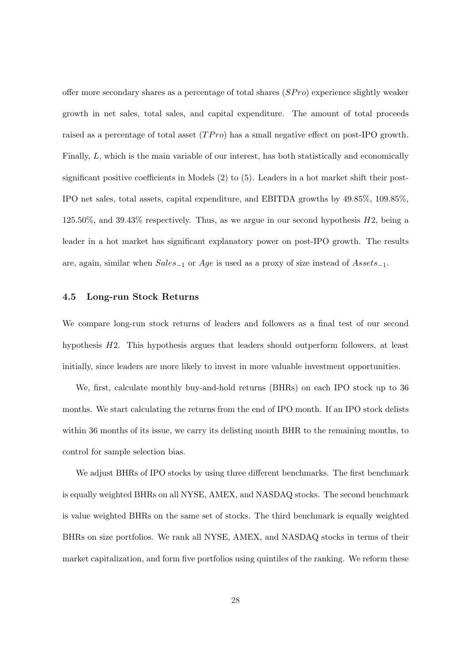offer more secondary shares as a percentage of total shares  $(SPro)$  experience slightly weaker growth in net sales, total sales, and capital expenditure. The amount of total proceeds raised as a percentage of total asset  $(TPro)$  has a small negative effect on post-IPO growth. Finally, L, which is the main variable of our interest, has both statistically and economically significant positive coefficients in Models (2) to (5). Leaders in a hot market shift their post-IPO net sales, total assets, capital expenditure, and EBITDA growths by 49.85%, 109.85%,  $125.50\%$ , and  $39.43\%$  respectively. Thus, as we argue in our second hypothesis  $H2$ , being a leader in a hot market has significant explanatory power on post-IPO growth. The results are, again, similar when  $Sales_{-1}$  or  $Age$  is used as a proxy of size instead of  $Assets_{-1}$ .

## 4.5 Long-run Stock Returns

We compare long-run stock returns of leaders and followers as a final test of our second hypothesis H2. This hypothesis argues that leaders should outperform followers, at least initially, since leaders are more likely to invest in more valuable investment opportunities.

We, first, calculate monthly buy-and-hold returns (BHRs) on each IPO stock up to 36 months. We start calculating the returns from the end of IPO month. If an IPO stock delists within 36 months of its issue, we carry its delisting month BHR to the remaining months, to control for sample selection bias.

We adjust BHRs of IPO stocks by using three different benchmarks. The first benchmark is equally weighted BHRs on all NYSE, AMEX, and NASDAQ stocks. The second benchmark is value weighted BHRs on the same set of stocks. The third benchmark is equally weighted BHRs on size portfolios. We rank all NYSE, AMEX, and NASDAQ stocks in terms of their market capitalization, and form five portfolios using quintiles of the ranking. We reform these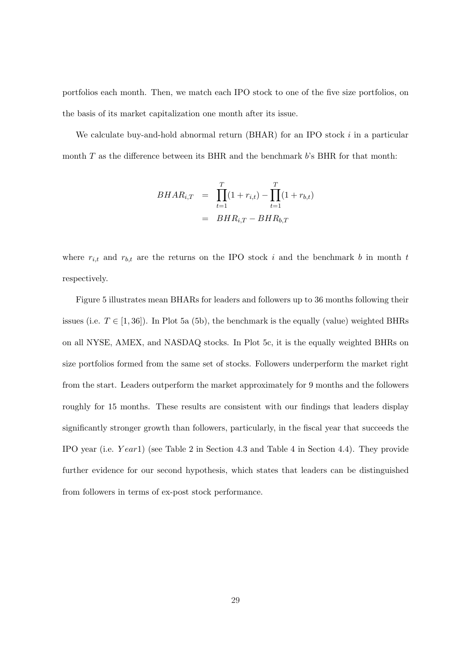portfolios each month. Then, we match each IPO stock to one of the five size portfolios, on the basis of its market capitalization one month after its issue.

We calculate buy-and-hold abnormal return  $(BHAR)$  for an IPO stock i in a particular month  $T$  as the difference between its BHR and the benchmark  $b$ 's BHR for that month:

$$
BHAR_{i,T} = \prod_{t=1}^{T} (1 + r_{i,t}) - \prod_{t=1}^{T} (1 + r_{b,t})
$$
  
= 
$$
BHR_{i,T} - BHR_{b,T}
$$

where  $r_{i,t}$  and  $r_{b,t}$  are the returns on the IPO stock i and the benchmark b in month t respectively.

Figure 5 illustrates mean BHARs for leaders and followers up to 36 months following their issues (i.e.  $T \in [1, 36]$ ). In Plot 5a (5b), the benchmark is the equally (value) weighted BHRs on all NYSE, AMEX, and NASDAQ stocks. In Plot 5c, it is the equally weighted BHRs on size portfolios formed from the same set of stocks. Followers underperform the market right from the start. Leaders outperform the market approximately for 9 months and the followers roughly for 15 months. These results are consistent with our findings that leaders display significantly stronger growth than followers, particularly, in the fiscal year that succeeds the IPO year (i.e.  $Year1$ ) (see Table 2 in Section 4.3 and Table 4 in Section 4.4). They provide further evidence for our second hypothesis, which states that leaders can be distinguished from followers in terms of ex-post stock performance.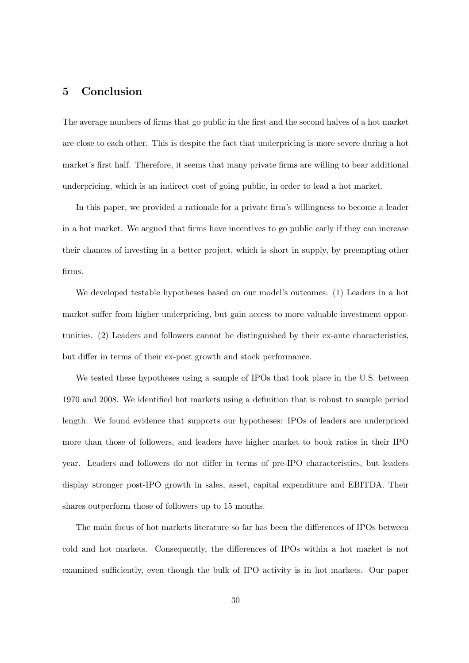# 5 Conclusion

The average numbers of firms that go public in the first and the second halves of a hot market are close to each other. This is despite the fact that underpricing is more severe during a hot market's first half. Therefore, it seems that many private firms are willing to bear additional underpricing, which is an indirect cost of going public, in order to lead a hot market.

In this paper, we provided a rationale for a private firm's willingness to become a leader in a hot market. We argued that firms have incentives to go public early if they can increase their chances of investing in a better project, which is short in supply, by preempting other firms.

We developed testable hypotheses based on our model's outcomes: (1) Leaders in a hot market suffer from higher underpricing, but gain access to more valuable investment opportunities. (2) Leaders and followers cannot be distinguished by their ex-ante characteristics, but differ in terms of their ex-post growth and stock performance.

We tested these hypotheses using a sample of IPOs that took place in the U.S. between 1970 and 2008. We identified hot markets using a definition that is robust to sample period length. We found evidence that supports our hypotheses: IPOs of leaders are underpriced more than those of followers, and leaders have higher market to book ratios in their IPO year. Leaders and followers do not differ in terms of pre-IPO characteristics, but leaders display stronger post-IPO growth in sales, asset, capital expenditure and EBITDA. Their shares outperform those of followers up to 15 months.

The main focus of hot markets literature so far has been the differences of IPOs between cold and hot markets. Consequently, the differences of IPOs within a hot market is not examined sufficiently, even though the bulk of IPO activity is in hot markets. Our paper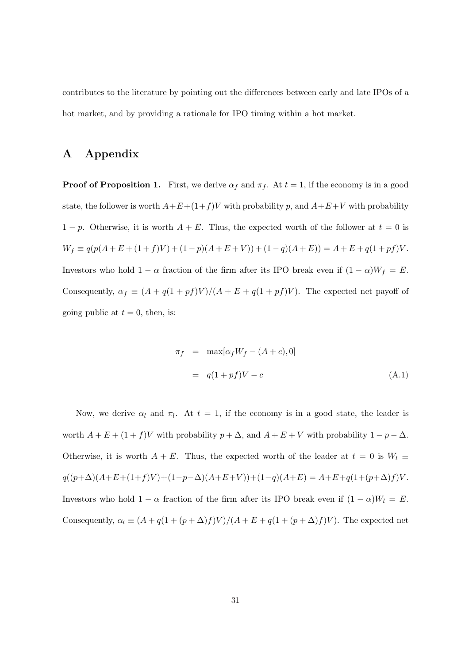contributes to the literature by pointing out the differences between early and late IPOs of a hot market, and by providing a rationale for IPO timing within a hot market.

# A Appendix

**Proof of Proposition 1.** First, we derive  $\alpha_f$  and  $\pi_f$ . At  $t = 1$ , if the economy is in a good state, the follower is worth  $A+E+(1+f)V$  with probability p, and  $A+E+V$  with probability  $1 - p$ . Otherwise, it is worth  $A + E$ . Thus, the expected worth of the follower at  $t = 0$  is  $W_f \equiv q(p(A+E+(1+f)V) + (1-p)(A+E+V)) + (1-q)(A+E)) = A+E+q(1+pf)V.$ Investors who hold  $1 - \alpha$  fraction of the firm after its IPO break even if  $(1 - \alpha)W_f = E$ . Consequently,  $\alpha_f \equiv (A + q(1 + pf)V)/(A + E + q(1 + pf)V)$ . The expected net payoff of going public at  $t = 0$ , then, is:

$$
\pi_f = \max[\alpha_f W_f - (A + c), 0]
$$

$$
= q(1 + pf)V - c
$$
(A.1)

Now, we derive  $\alpha_l$  and  $\pi_l$ . At  $t = 1$ , if the economy is in a good state, the leader is worth  $A + E + (1 + f)V$  with probability  $p + \Delta$ , and  $A + E + V$  with probability  $1 - p - \Delta$ . Otherwise, it is worth  $A + E$ . Thus, the expected worth of the leader at  $t = 0$  is  $W_l \equiv$  $q((p+\Delta)(A+E+(1+f)V)+(1-p-\Delta)(A+E+V))+(1-q)(A+E)=A+E+q(1+(p+\Delta)f)V.$ Investors who hold  $1 - \alpha$  fraction of the firm after its IPO break even if  $(1 - \alpha)W_l = E$ . Consequently,  $\alpha_l \equiv (A + q(1 + (p + \Delta)f)V)/(A + E + q(1 + (p + \Delta)f)V)$ . The expected net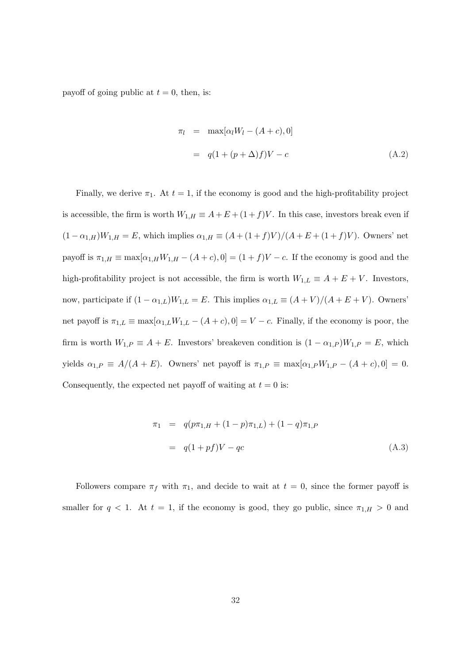payoff of going public at  $t = 0$ , then, is:

$$
\pi_l = \max[\alpha_l W_l - (A + c), 0]
$$

$$
= q(1 + (p + \Delta)f)V - c
$$
(A.2)

Finally, we derive  $\pi_1$ . At  $t = 1$ , if the economy is good and the high-profitability project is accessible, the firm is worth  $W_{1,H} \equiv A + E + (1 + f)V$ . In this case, investors break even if  $(1 - \alpha_{1,H})W_{1,H} = E$ , which implies  $\alpha_{1,H} \equiv (A + (1 + f)V)/(A + E + (1 + f)V)$ . Owners' net payoff is  $\pi_{1,H} \equiv \max[\alpha_{1,H}W_{1,H} - (A+c), 0] = (1+f)V - c$ . If the economy is good and the high-profitability project is not accessible, the firm is worth  $W_{1,L} \equiv A + E + V$ . Investors, now, participate if  $(1 - \alpha_{1,L})W_{1,L} = E$ . This implies  $\alpha_{1,L} \equiv (A + V)/(A + E + V)$ . Owners' net payoff is  $\pi_{1,L} \equiv \max[\alpha_{1,L}W_{1,L} - (A+c), 0] = V - c$ . Finally, if the economy is poor, the firm is worth  $W_{1,P} \equiv A + E$ . Investors' breakeven condition is  $(1 - \alpha_{1,P})W_{1,P} = E$ , which yields  $\alpha_{1,P} \equiv A/(A+E)$ . Owners' net payoff is  $\pi_{1,P} \equiv \max[\alpha_{1,P}W_{1,P} - (A+C), 0] = 0$ . Consequently, the expected net payoff of waiting at  $t = 0$  is:

$$
\pi_1 = q(p\pi_{1,H} + (1-p)\pi_{1,L}) + (1-q)\pi_{1,P}
$$
  
=  $q(1+pf)V - qc$  (A.3)

Followers compare  $\pi_f$  with  $\pi_1$ , and decide to wait at  $t = 0$ , since the former payoff is smaller for  $q < 1$ . At  $t = 1$ , if the economy is good, they go public, since  $\pi_{1,H} > 0$  and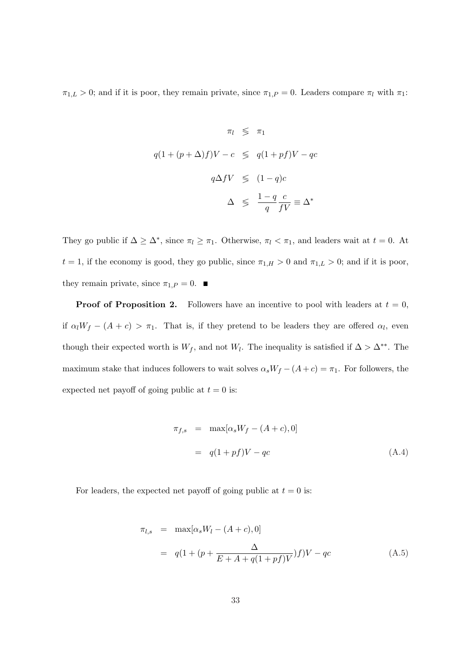$\pi_{1,L} > 0$ ; and if it is poor, they remain private, since  $\pi_{1,P} = 0$ . Leaders compare  $\pi_l$  with  $\pi_1$ :

$$
\pi_l \leq \pi_1
$$
  

$$
q(1 + (p + \Delta)f)V - c \leq q(1 + pf)V - qc
$$
  

$$
q\Delta fV \leq (1 - q)c
$$
  

$$
\Delta \leq \frac{1 - q}{q} \frac{c}{fV} \equiv \Delta^*
$$

They go public if  $\Delta \geq \Delta^*$ , since  $\pi_l \geq \pi_1$ . Otherwise,  $\pi_l < \pi_1$ , and leaders wait at  $t = 0$ . At  $t = 1$ , if the economy is good, they go public, since  $\pi_{1,H} > 0$  and  $\pi_{1,L} > 0$ ; and if it is poor, they remain private, since  $\pi_{1,P} = 0$ .

**Proof of Proposition 2.** Followers have an incentive to pool with leaders at  $t = 0$ , if  $\alpha_l W_f - (A + c) > \pi_1$ . That is, if they pretend to be leaders they are offered  $\alpha_l$ , even though their expected worth is  $W_f$ , and not  $W_l$ . The inequality is satisfied if  $\Delta > \Delta^{**}$ . The maximum stake that induces followers to wait solves  $\alpha_s W_f - (A + c) = \pi_1$ . For followers, the expected net payoff of going public at  $t = 0$  is:

$$
\pi_{f,s} = \max[\alpha_s W_f - (A + c), 0]
$$

$$
= q(1 + pf)V - qc \tag{A.4}
$$

For leaders, the expected net payoff of going public at  $t = 0$  is:

$$
\pi_{l,s} = \max[\alpha_s W_l - (A + c), 0]
$$
  
=  $q(1 + (p + \frac{\Delta}{E + A + q(1 + pf)V})f)V - qc$  (A.5)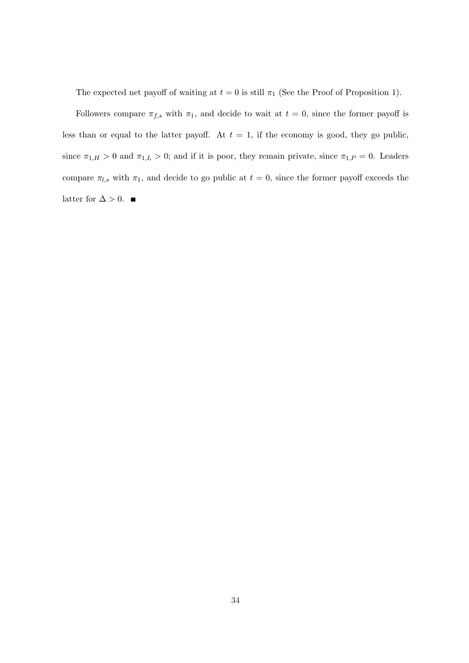The expected net payoff of waiting at  $t = 0$  is still  $\pi_1$  (See the Proof of Proposition 1).

Followers compare  $\pi_{f,s}$  with  $\pi_1$ , and decide to wait at  $t = 0$ , since the former payoff is less than or equal to the latter payoff. At  $t = 1$ , if the economy is good, they go public, since  $\pi_{1,H} > 0$  and  $\pi_{1,L} > 0$ ; and if it is poor, they remain private, since  $\pi_{1,P} = 0$ . Leaders compare  $\pi_{l,s}$  with  $\pi_1$ , and decide to go public at  $t = 0$ , since the former payoff exceeds the latter for  $\Delta > 0$ . ■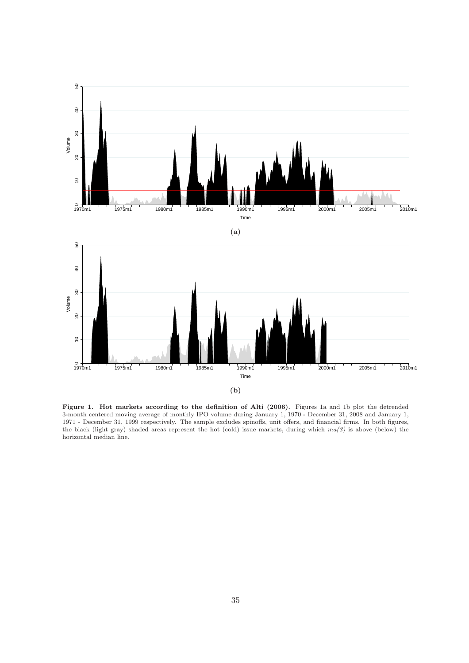

Figure 1. Hot markets according to the definition of Alti (2006). Figures 1a and 1b plot the detrended 3-month centered moving average of monthly IPO volume during January 1, 1970 - December 31, 2008 and January 1, 1971 - December 31, 1999 respectively. The sample excludes spinoffs, unit offers, and financial firms. In both figures, the black (light gray) shaded areas represent the hot (cold) issue markets, during which  $ma(3)$  is above (below) the horizontal median line.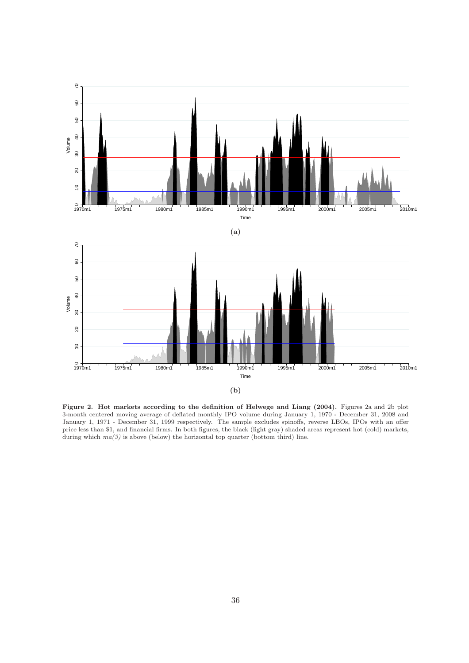

Figure 2. Hot markets according to the definition of Helwege and Liang (2004). Figures 2a and 2b plot 3-month centered moving average of deflated monthly IPO volume during January 1, 1970 - December 31, 2008 and January 1, 1971 - December 31, 1999 respectively. The sample excludes spinoffs, reverse LBOs, IPOs with an offer price less than \$1, and financial firms. In both figures, the black (light gray) shaded areas represent hot (cold) markets, during which  $ma(3)$  is above (below) the horizontal top quarter (bottom third) line.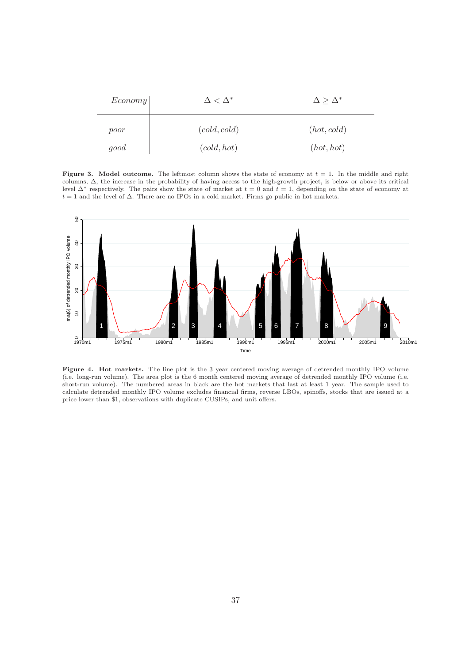| $E_{conomy}$ | $\Delta<\Delta^*$ | $\Delta \geq \Delta^*$ |  |  |
|--------------|-------------------|------------------------|--|--|
| poor         | (cold, cold)      | (hot, cold)            |  |  |
| good         | (cold, hot)       | (hot, hot)             |  |  |

Figure 3. Model outcome. The leftmost column shows the state of economy at  $t = 1$ . In the middle and right columns, ∆, the increase in the probability of having access to the high-growth project, is below or above its critical level  $\Delta^*$  respectively. The pairs show the state of market at  $t = 0$  and  $t = 1$ , depending on the state of economy at  $t = 1$  and the level of  $\Delta$ . There are no IPOs in a cold market. Firms go public in hot markets.



Figure 4. Hot markets. The line plot is the 3 year centered moving average of detrended monthly IPO volume (i.e. long-run volume). The area plot is the 6 month centered moving average of detrended monthly IPO volume (i.e. short-run volume). The numbered areas in black are the hot markets that last at least 1 year. The sample used to calculate detrended monthly IPO volume excludes financial firms, reverse LBOs, spinoffs, stocks that are issued at a price lower than \$1, observations with duplicate CUSIPs, and unit offers.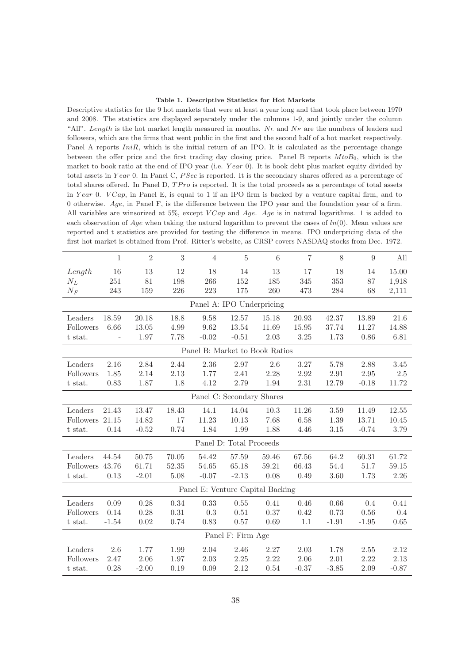#### Table 1. Descriptive Statistics for Hot Markets

Descriptive statistics for the 9 hot markets that were at least a year long and that took place between 1970 and 2008. The statistics are displayed separately under the columns 1-9, and jointly under the column "All". Length is the hot market length measured in months.  $N_L$  and  $N_F$  are the numbers of leaders and followers, which are the firms that went public in the first and the second half of a hot market respectively. Panel A reports  $IniR$ , which is the initial return of an IPO. It is calculated as the percentage change between the offer price and the first trading day closing price. Panel B reports  $M to B<sub>0</sub>$ , which is the market to book ratio at the end of IPO year (i.e. Year 0). It is book debt plus market equity divided by total assets in Year 0. In Panel C,  $P\text{Sec}$  is reported. It is the secondary shares offered as a percentage of total shares offered. In Panel D,  $TPro$  is reported. It is the total proceeds as a percentage of total assets in Year 0.  $VCap$ , in Panel E, is equal to 1 if an IPO firm is backed by a venture capital firm, and to 0 otherwise. Age, in Panel F, is the difference between the IPO year and the foundation year of a firm. All variables are winsorized at 5%, except  $VCap$  and  $Age$ . Age is in natural logarithms. 1 is added to each observation of Age when taking the natural logarithm to prevent the cases of  $ln(0)$ . Mean values are reported and t statistics are provided for testing the difference in means. IPO underpricing data of the first hot market is obtained from Prof. Ritter's website, as CRSP covers NASDAQ stocks from Dec. 1972.

|                                  | $\mathbf{1}$  | $\overline{2}$ | $\sqrt{3}$ | 4                              | $\rm 5$                 | 6        | $\overline{7}$ | 8       | 9       | All      |
|----------------------------------|---------------|----------------|------------|--------------------------------|-------------------------|----------|----------------|---------|---------|----------|
| Length                           | 16            | 13             | 12         | 18                             | 14                      | 13       | 17             | 18      | 14      | 15.00    |
| $N_L$                            | 251           | $81\,$         | 198        | 266                            | 152                     | 185      | 345            | 353     | 87      | 1,918    |
| $N_F$                            | 243           | 159            | 226        | 223                            | 175                     | $260\,$  | 473            | 284     | 68      | 2,111    |
|                                  |               |                |            | Panel A: IPO Underpricing      |                         |          |                |         |         |          |
| Leaders                          | 18.59         | 20.18          | 18.8       | 9.58                           | 12.57                   | 15.18    | 20.93          | 42.37   | 13.89   | 21.6     |
| Followers                        | 6.66          | 13.05          | 4.99       | 9.62                           | 13.54                   | 11.69    | 15.95          | 37.74   | 11.27   | 14.88    |
| t stat.                          | $\frac{1}{2}$ | 1.97           | 7.78       | $-0.02$                        | $-0.51$                 | $2.03\,$ | 3.25           | 1.73    | 0.86    | 6.81     |
|                                  |               |                |            | Panel B: Market to Book Ratios |                         |          |                |         |         |          |
| Leaders                          | 2.16          | 2.84           | 2.44       | 2.36                           | 2.97                    | 2.6      | 3.27           | 5.78    | 2.88    | $3.45\,$ |
| Followers                        | 1.85          | 2.14           | 2.13       | 1.77                           | 2.41                    | 2.28     | 2.92           | 2.91    | 2.95    | $2.5\,$  |
| t stat.                          | 0.83          | 1.87           | 1.8        | 4.12                           | 2.79                    | 1.94     | 2.31           | 12.79   | $-0.18$ | 11.72    |
|                                  |               |                |            | Panel C: Secondary Shares      |                         |          |                |         |         |          |
| Leaders                          | 21.43         | 13.47          | 18.43      | 14.1                           | 14.04                   | 10.3     | 11.26          | 3.59    | 11.49   | 12.55    |
| <b>Followers</b>                 | $21.15\,$     | 14.82          | 17         | 11.23                          | 10.13                   | 7.68     | 6.58           | 1.39    | 13.71   | 10.45    |
| t stat.                          | 0.14          | $-0.52$        | 0.74       | 1.84                           | 1.99                    | 1.88     | 4.46           | 3.15    | $-0.74$ | 3.79     |
|                                  |               |                |            |                                | Panel D: Total Proceeds |          |                |         |         |          |
| Leaders                          | 44.54         | 50.75          | 70.05      | 54.42                          | 57.59                   | 59.46    | 67.56          | 64.2    | 60.31   | 61.72    |
| Followers                        | 43.76         | 61.71          | 52.35      | 54.65                          | 65.18                   | 59.21    | 66.43          | 54.4    | 51.7    | 59.15    |
| t stat.                          | 0.13          | $-2.01$        | 5.08       | $-0.07$                        | $-2.13$                 | 0.08     | 0.49           | 3.60    | 1.73    | 2.26     |
| Panel E: Venture Capital Backing |               |                |            |                                |                         |          |                |         |         |          |
| Leaders                          | 0.09          | 0.28           | 0.34       | 0.33                           | $0.55\,$                | 0.41     | 0.46           | 0.66    | 0.4     | 0.41     |
| Followers                        | 0.14          | 0.28           | 0.31       | 0.3                            | 0.51                    | 0.37     | 0.42           | 0.73    | 0.56    | 0.4      |
| t stat.                          | $-1.54$       | 0.02           | 0.74       | 0.83                           | 0.57                    | 0.69     | 1.1            | $-1.91$ | $-1.95$ | 0.65     |
| Panel F: Firm Age                |               |                |            |                                |                         |          |                |         |         |          |
| Leaders                          | 2.6           | 1.77           | 1.99       | 2.04                           | 2.46                    | 2.27     | 2.03           | 1.78    | 2.55    | 2.12     |
| Followers                        | 2.47          | 2.06           | 1.97       | 2.03                           | $2.25\,$                | 2.22     | 2.06           | 2.01    | 2.22    | 2.13     |
| t stat.                          | 0.28          | $-2.00$        | 0.19       | 0.09                           | $2.12\,$                | 0.54     | $-0.37$        | $-3.85$ | 2.09    | $-0.87$  |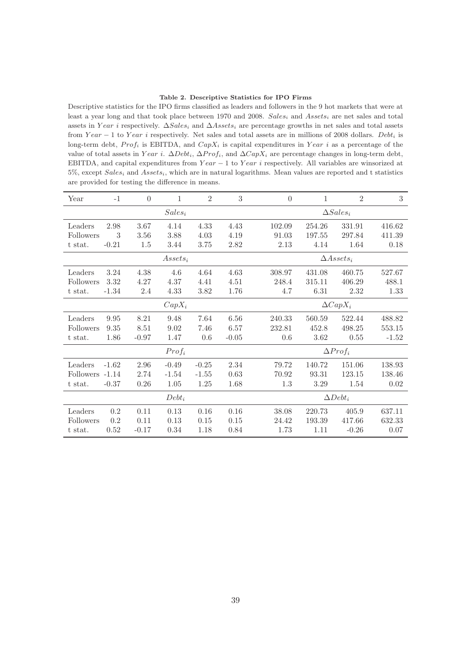#### Table 2. Descriptive Statistics for IPO Firms

Descriptive statistics for the IPO firms classified as leaders and followers in the 9 hot markets that were at least a year long and that took place between 1970 and 2008.  $Sales_i$  and  $Assets_i$  are net sales and total assets in Year i respectively.  $\Delta Sales_i$  and  $\Delta Assets_i$  are percentage growths in net sales and total assets from Year  $-1$  to Year i respectively. Net sales and total assets are in millions of 2008 dollars. Debt<sub>i</sub> is long-term debt,  $Prof_i$  is EBITDA, and  $CapX_i$  is capital expenditures in Year i as a percentage of the value of total assets in Year i.  $\Delta Det_i$ ,  $\Delta Prof_i$ , and  $\Delta CapX_i$  are percentage changes in long-term debt, EBITDA, and capital expenditures from  $Year - 1$  to  $Year$  i respectively. All variables are winsorized at  $5\%$ , except Sales<sub>i</sub> and Assets<sub>i</sub>, which are in natural logarithms. Mean values are reported and t statistics are provided for testing the difference in means.

| Year              | $-1$    | $\overline{0}$ | 1          | $\overline{2}$  | 3               | $\overline{0}$   | 1               | $\overline{2}$       | $\boldsymbol{3}$ |  |
|-------------------|---------|----------------|------------|-----------------|-----------------|------------------|-----------------|----------------------|------------------|--|
| $Sales_i$         |         |                |            |                 |                 | $\Delta Sales_i$ |                 |                      |                  |  |
| Leaders           | 2.98    | 3.67           | 4.14       | 4.33            | 4.43            | 102.09           | 254.26          | 331.91               | 416.62           |  |
| Followers         | 3       | 3.56           | 3.88       | 4.03            | 4.19            | 91.03            | 197.55          | 297.84               | 411.39           |  |
| t stat.           | $-0.21$ | 1.5            | 3.44       | 3.75            | 2.82            | 2.13             | 4.14            | 1.64                 | 0.18             |  |
|                   |         |                | $Assets_i$ |                 |                 |                  |                 | $\triangle Assets_i$ |                  |  |
| Leaders           | 3.24    | 4.38           | 4.6        | 4.64            | 4.63            | 308.97           | 431.08          | 460.75               | 527.67           |  |
| Followers         | 3.32    | 4.27           | 4.37       | 4.41            | 4.51            | 248.4            | 315.11          | 406.29               | 488.1            |  |
| t stat.           | $-1.34$ | 2.4            | 4.33       | 3.82            | 1.76            | 4.7              | 6.31            | 2.32                 | 1.33             |  |
|                   |         |                | $CapX_i$   |                 |                 |                  | $\Delta CapX_i$ |                      |                  |  |
| Leaders           | 9.95    | 8.21           | 9.48       | 7.64            | 6.56            | 240.33           | 560.59          | 522.44               | 488.82           |  |
| Followers         | 9.35    | 8.51           | 9.02       | 7.46            | 6.57            | 232.81           | 452.8           | 498.25               | 553.15           |  |
| t stat.           | 1.86    | $-0.97$        | 1.47       | 0.6             | $-0.05$         | 0.6              | 3.62            | 0.55                 | $-1.52$          |  |
| Prof <sub>i</sub> |         |                |            |                 | $\Delta Prof_i$ |                  |                 |                      |                  |  |
| Leaders           | $-1.62$ | 2.96           | $-0.49$    | $-0.25$         | 2.34            | 79.72            | 140.72          | 151.06               | 138.93           |  |
| <b>Followers</b>  | $-1.14$ | 2.74           | $-1.54$    | $-1.55$         | 0.63            | 70.92            | 93.31           | 123.15               | 138.46           |  |
| t stat.           | $-0.37$ | 0.26           | 1.05       | 1.25            | 1.68            | 1.3              | 3.29            | 1.54                 | 0.02             |  |
| $Debt_i$          |         |                |            | $\Delta Debt_i$ |                 |                  |                 |                      |                  |  |
| Leaders           | 0.2     | 0.11           | 0.13       | 0.16            | 0.16            | 38.08            | 220.73          | 405.9                | 637.11           |  |
| Followers         | 0.2     | 0.11           | 0.13       | 0.15            | 0.15            | 24.42            | 193.39          | 417.66               | 632.33           |  |
| t stat.           | 0.52    | $-0.17$        | 0.34       | 1.18            | 0.84            | 1.73             | 1.11            | $-0.26$              | 0.07             |  |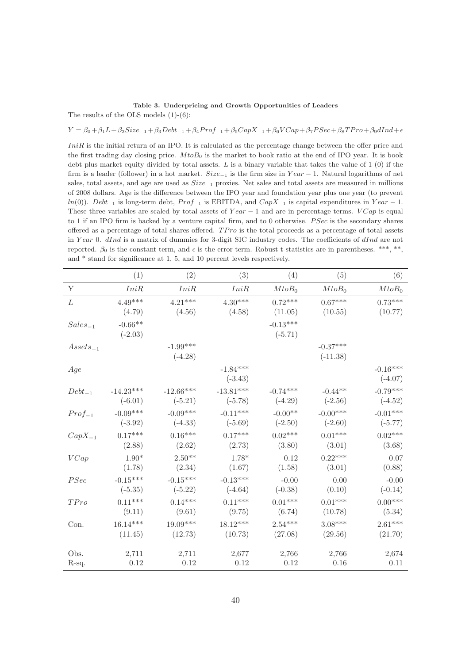#### Table 3. Underpricing and Growth Opportunities of Leaders

The results of the OLS models (1)-(6):

#### $Y = \beta_0 + \beta_1 L + \beta_2 Size_{-1} + \beta_3 Debt_{-1} + \beta_4 Prof_{-1} + \beta_5 CapX_{-1} + \beta_6 VCap + \beta_7 P See + \beta_8 TPro + \beta_9 dInd + \epsilon_7$

IniR is the initial return of an IPO. It is calculated as the percentage change between the offer price and the first trading day closing price.  $M to B_0$  is the market to book ratio at the end of IPO year. It is book debt plus market equity divided by total assets.  $L$  is a binary variable that takes the value of 1 (0) if the firm is a leader (follower) in a hot market.  $Size_{-1}$  is the firm size in  $Year - 1$ . Natural logarithms of net sales, total assets, and age are used as Size−<sup>1</sup> proxies. Net sales and total assets are measured in millions of 2008 dollars. Age is the difference between the IPO year and foundation year plus one year (to prevent ln(0)). Debt<sub>−1</sub> is long-term debt, Prof<sub>−1</sub> is EBITDA, and CapX<sub>−1</sub> is capital expenditures in Year − 1. These three variables are scaled by total assets of  $Year - 1$  and are in percentage terms.  $VCap$  is equal to 1 if an IPO firm is backed by a venture capital firm, and to 0 otherwise. *PSec* is the secondary shares offered as a percentage of total shares offered.  $TPro$  is the total proceeds as a percentage of total assets in Year 0.  $dInd$  is a matrix of dummies for 3-digit SIC industry codes. The coefficients of  $dInd$  are not reported.  $\beta_0$  is the constant term, and  $\epsilon$  is the error term. Robust t-statistics are in parentheses. \*\*\*, \*\*, and \* stand for significance at 1, 5, and 10 percent levels respectively.

|               | (1)                              | (2)                     | (3)                     | (4)                     | (5)                      | (6)                     |
|---------------|----------------------------------|-------------------------|-------------------------|-------------------------|--------------------------|-------------------------|
| Y             | IniR                             | IniR                    | IniR                    | $MtoB_0$                | $MtoB_0$                 | MtoB <sub>0</sub>       |
| L             | $4.49***$                        | $4.21***$               | $4.30***$               | $0.72***$<br>(11.05)    | $0.67***$<br>(10.55)     | $0.73***$<br>(10.77)    |
| $Sales_{-1}$  | (4.79)<br>$-0.66**$<br>$(-2.03)$ | (4.56)                  | (4.58)                  | $-0.13***$<br>$(-5.71)$ |                          |                         |
| $Assets_{-1}$ |                                  | $-1.99***$<br>$(-4.28)$ |                         |                         | $-0.37***$<br>$(-11.38)$ |                         |
| Age           |                                  |                         | $-1.84***$<br>$(-3.43)$ |                         |                          | $-0.16***$<br>$(-4.07)$ |
| $Debt_{-1}$   | $-14.23***$                      | $-12.66***$             | $-13.81***$             | $-0.74***$              | $-0.44**$                | $-0.79***$              |
|               | $(-6.01)$                        | $(-5.21)$               | $(-5.78)$               | $(-4.29)$               | $(-2.56)$                | $(-4.52)$               |
| $Prof_{-1}$   | $-0.09***$                       | $-0.09***$              | $-0.11***$              | $-0.00**$               | $-0.00***$               | $-0.01***$              |
|               | $(-3.92)$                        | $(-4.33)$               | $(-5.69)$               | $(-2.50)$               | $(-2.60)$                | $(-5.77)$               |
| $CapX_{-1}$   | $0.17***$                        | $0.16***$               | $0.17***$               | $0.02***$               | $0.01***$                | $0.02***$               |
|               | (2.88)                           | (2.62)                  | (2.73)                  | (3.80)                  | (3.01)                   | (3.68)                  |
| VCap          | $1.90*$                          | $2.50**$                | $1.78*$                 | 0.12                    | $0.22***$                | 0.07                    |
|               | (1.78)                           | (2.34)                  | (1.67)                  | (1.58)                  | (3.01)                   | (0.88)                  |
| PSec          | $-0.15***$                       | $-0.15***$              | $-0.13***$              | $-0.00$                 | 0.00                     | $-0.00$                 |
|               | $(-5.35)$                        | $(-5.22)$               | $(-4.64)$               | $(-0.38)$               | (0.10)                   | $(-0.14)$               |
| TPro          | $0.11***$                        | $0.14***$               | $0.11***$               | $0.01***$               | $0.01***$                | $0.00***$               |
|               | (9.11)                           | (9.61)                  | (9.75)                  | (6.74)                  | (10.78)                  | (5.34)                  |
| Con.          | $16.14***$                       | $19.09***$              | $18.12***$              | $2.54***$               | $3.08***$                | $2.61***$               |
|               | (11.45)                          | (12.73)                 | (10.73)                 | (27.08)                 | (29.56)                  | (21.70)                 |
| Obs.          | 2,711                            | 2,711                   | 2,677                   | 2,766                   | 2,766                    | 2,674                   |
| R-sq.         | 0.12                             | 0.12                    | 0.12                    | 0.12                    | 0.16                     | 0.11                    |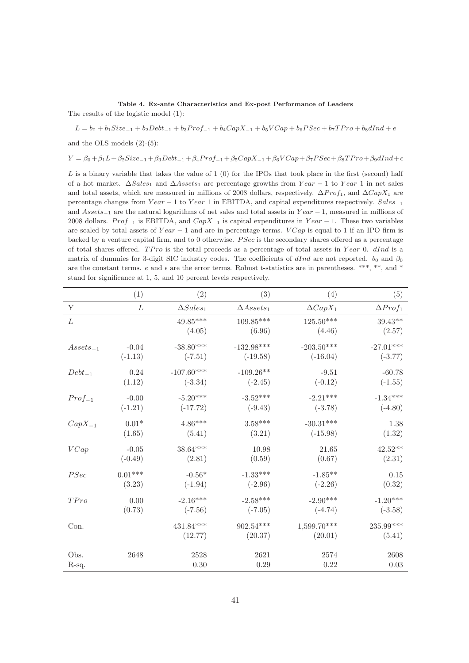### Table 4. Ex-ante Characteristics and Ex-post Performance of Leaders

The results of the logistic model (1):

$$
L = b_0 + b_1 Size_{-1} + b_2Debt_{-1} + b_3Prof_{-1} + b_4 CapX_{-1} + b_5 VCap + b_6 PSec + b_7 TPro + b_8 dInd + e
$$

and the OLS models (2)-(5):

$$
Y = \beta_0 + \beta_1 L + \beta_2 Size_{-1} + \beta_3 Det_{-1} + \beta_4 Prof_{-1} + \beta_5 CapX_{-1} + \beta_6 VCap + \beta_7 PSec + \beta_8 TPro + \beta_9 dInd + \epsilon_7 FSeq + \beta_9 G
$$

L is a binary variable that takes the value of 1 (0) for the IPOs that took place in the first (second) half of a hot market.  $\Delta Sales_1$  and  $\Delta Assets_1$  are percentage growths from Year  $-1$  to Year 1 in net sales and total assets, which are measured in millions of 2008 dollars, respectively.  $\Delta Prof_1$ , and  $\Delta CapX_1$  are percentage changes from Year − 1 to Year 1 in EBITDA, and capital expenditures respectively. Sales-1 and Assets−<sup>1</sup> are the natural logarithms of net sales and total assets in Y ear − 1, measured in millions of 2008 dollars. Prof<sub>-1</sub> is EBITDA, and CapX<sub>-1</sub> is capital expenditures in Year – 1. These two variables are scaled by total assets of Year  $-1$  and are in percentage terms. VCap is equal to 1 if an IPO firm is backed by a venture capital firm, and to 0 otherwise. PSec is the secondary shares offered as a percentage of total shares offered. TPro is the total proceeds as a percentage of total assets in Year 0. dInd is a matrix of dummies for 3-digit SIC industry codes. The coefficients of dInd are not reported.  $b_0$  and  $\beta_0$ are the constant terms.  $e$  and  $\epsilon$  are the error terms. Robust t-statistics are in parentheses. \*\*\*, \*\*, and \* stand for significance at 1, 5, and 10 percent levels respectively.

|               | (1)       | (2)                    | (3)                   | (4)                      | (5)                   |
|---------------|-----------|------------------------|-----------------------|--------------------------|-----------------------|
| Y             | L         | $\triangle Sales_1$    | $\triangle Assets_1$  | $\Delta CapX_1$          | $\Delta Prof_1$       |
| L             |           | $49.85***$<br>(4.05)   | $109.85***$<br>(6.96) | $125.50***$<br>(4.46)    | $39.43**$<br>(2.57)   |
| $Assets_{-1}$ | $-0.04$   | $-38.80***$            | $-132.98***$          | $-203.50***$             | $-27.01***$           |
|               | $(-1.13)$ | $(-7.51)$              | $(-19.58)$            | $(-16.04)$               | $(-3.77)$             |
| $Debt_{-1}$   | 0.24      | $-107.60***$           | $-109.26**$           | $-9.51$                  | $-60.78$              |
|               | (1.12)    | $(-3.34)$              | $(-2.45)$             | $(-0.12)$                | $(-1.55)$             |
| $Prof_{-1}$   | $-0.00$   | $-5.20***$             | $-3.52***$            | $-2.21***$               | $-1.34***$            |
|               | $(-1.21)$ | $(-17.72)$             | $(-9.43)$             | $(-3.78)$                | $(-4.80)$             |
| $CapX_{-1}$   | $0.01*$   | $4.86***$              | $3.58***$             | $-30.31***$              | 1.38                  |
|               | (1.65)    | (5.41)                 | (3.21)                | $(-15.98)$               | (1.32)                |
| VCap          | $-0.05$   | $38.64***$             | 10.98                 | 21.65                    | $42.52**$             |
|               | $(-0.49)$ | (2.81)                 | (0.59)                | (0.67)                   | (2.31)                |
| PSec          | $0.01***$ | $-0.56*$               | $-1.33***$            | $-1.85**$                | 0.15                  |
|               | (3.23)    | $(-1.94)$              | $(-2.96)$             | $(-2.26)$                | (0.32)                |
| TPro          | 0.00      | $-2.16***$             | $-2.58***$            | $-2.90***$               | $-1.20***$            |
|               | (0.73)    | $(-7.56)$              | $(-7.05)$             | $(-4.74)$                | $(-3.58)$             |
| Con.          |           | $431.84***$<br>(12.77) | 902.54***<br>(20.37)  | $1,599.70***$<br>(20.01) | $235.99***$<br>(5.41) |
| Obs.          | 2648      | 2528                   | 2621                  | 2574                     | 2608                  |
| R-sq.         |           | 0.30                   | 0.29                  | 0.22                     | $0.03\,$              |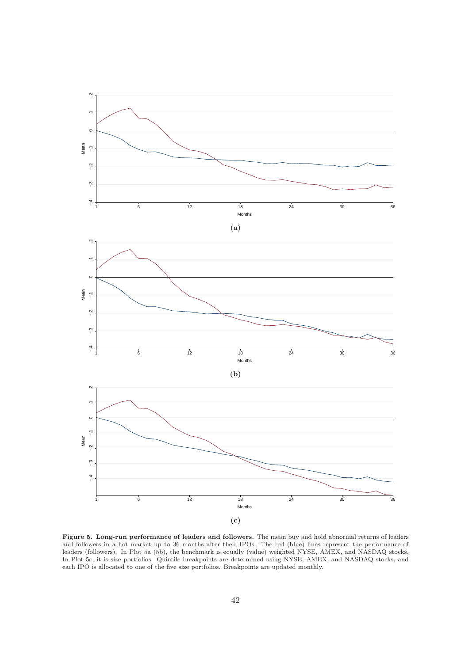

Figure 5. Long-run performance of leaders and followers. The mean buy and hold abnormal returns of leaders and followers in a hot market up to 36 months after their IPOs. The red (blue) lines represent the performance of leaders (followers). In Plot 5a (5b), the benchmark is equally (value) weighted NYSE, AMEX, and NASDAQ stocks. In Plot 5c, it is size portfolios. Quintile breakpoints are determined using NYSE, AMEX, and NASDAQ stocks, and each IPO is allocated to one of the five size portfolios. Breakpoints are updated monthly.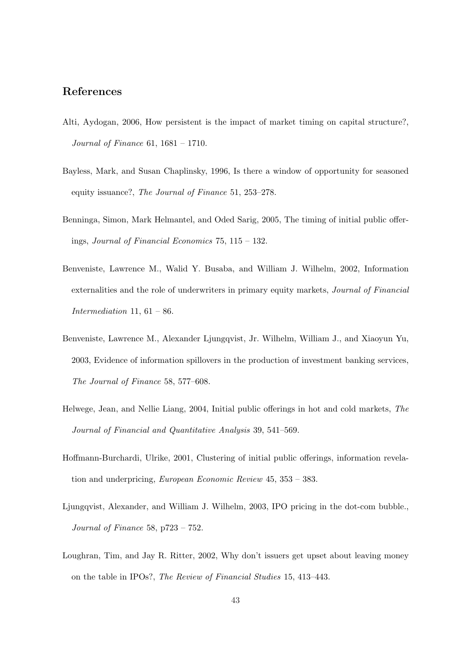# References

- Alti, Aydogan, 2006, How persistent is the impact of market timing on capital structure?, Journal of Finance 61, 1681 – 1710.
- Bayless, Mark, and Susan Chaplinsky, 1996, Is there a window of opportunity for seasoned equity issuance?, The Journal of Finance 51, 253–278.
- Benninga, Simon, Mark Helmantel, and Oded Sarig, 2005, The timing of initial public offerings, Journal of Financial Economics 75, 115 – 132.
- Benveniste, Lawrence M., Walid Y. Busaba, and William J. Wilhelm, 2002, Information externalities and the role of underwriters in primary equity markets, Journal of Financial Intermediation 11,  $61 - 86$ .
- Benveniste, Lawrence M., Alexander Ljungqvist, Jr. Wilhelm, William J., and Xiaoyun Yu, 2003, Evidence of information spillovers in the production of investment banking services, The Journal of Finance 58, 577–608.
- Helwege, Jean, and Nellie Liang, 2004, Initial public offerings in hot and cold markets, The Journal of Financial and Quantitative Analysis 39, 541–569.
- Hoffmann-Burchardi, Ulrike, 2001, Clustering of initial public offerings, information revelation and underpricing, European Economic Review 45, 353 – 383.
- Ljungqvist, Alexander, and William J. Wilhelm, 2003, IPO pricing in the dot-com bubble., Journal of Finance 58, p723 – 752.
- Loughran, Tim, and Jay R. Ritter, 2002, Why don't issuers get upset about leaving money on the table in IPOs?, The Review of Financial Studies 15, 413–443.